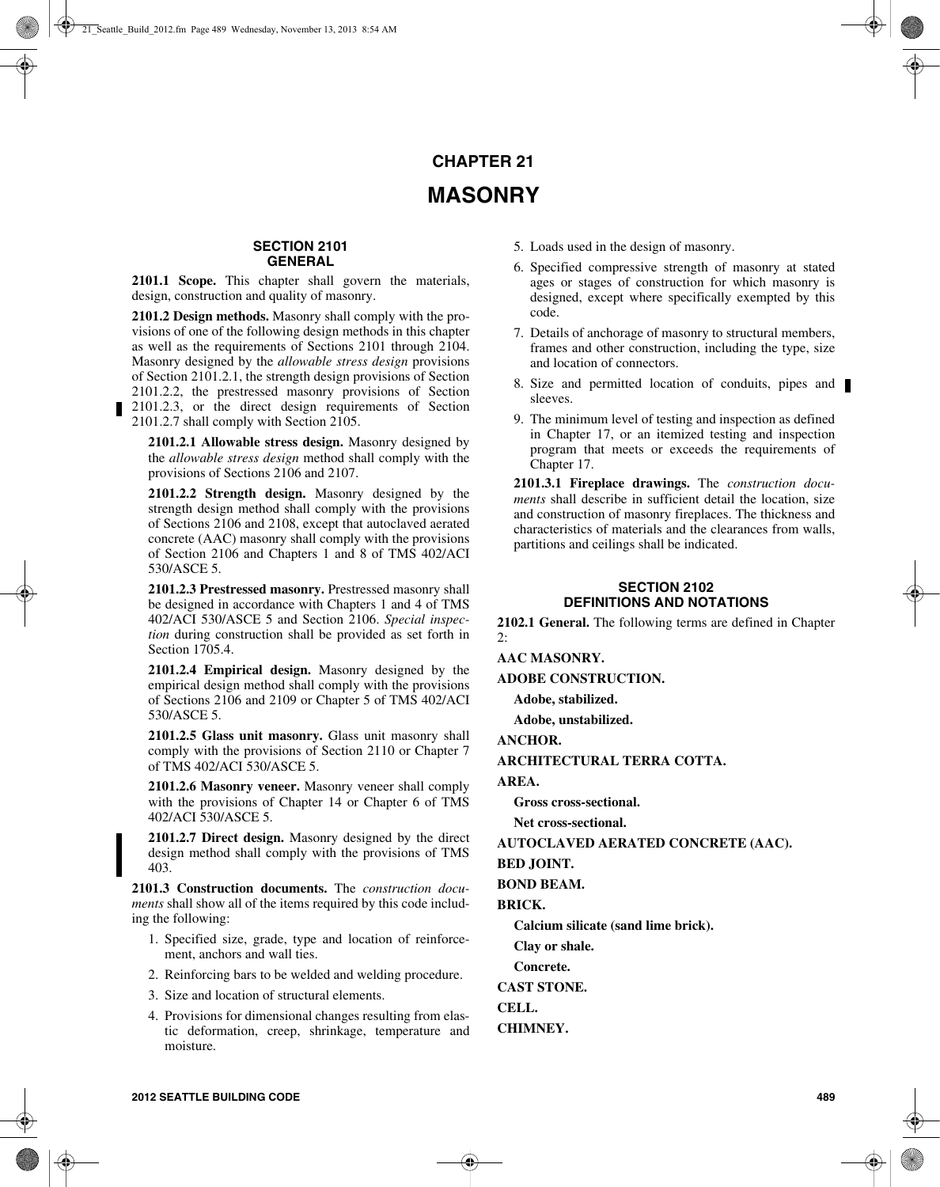# **CHAPTER 21 MASONRY**

## **SECTION 2101 GENERAL**

**2101.1 Scope.** This chapter shall govern the materials, design, construction and quality of masonry.

**2101.2 Design methods.** Masonry shall comply with the provisions of one of the following design methods in this chapter as well as the requirements of Sections 2101 through 2104. Masonry designed by the *allowable stress design* provisions of Section 2101.2.1, the strength design provisions of Section 2101.2.2, the prestressed masonry provisions of Section 2101.2.3, or the direct design requirements of Section 2101.2.7 shall comply with Section 2105.

**2101.2.1 Allowable stress design.** Masonry designed by the *allowable stress design* method shall comply with the provisions of Sections 2106 and 2107.

**2101.2.2 Strength design.** Masonry designed by the strength design method shall comply with the provisions of Sections 2106 and 2108, except that autoclaved aerated concrete (AAC) masonry shall comply with the provisions of Section 2106 and Chapters 1 and 8 of TMS 402/ACI 530/ASCE 5.

**2101.2.3 Prestressed masonry.** Prestressed masonry shall be designed in accordance with Chapters 1 and 4 of TMS 402/ACI 530/ASCE 5 and Section 2106. *Special inspection* during construction shall be provided as set forth in Section 1705.4.

**2101.2.4 Empirical design.** Masonry designed by the empirical design method shall comply with the provisions of Sections 2106 and 2109 or Chapter 5 of TMS 402/ACI 530/ASCE 5.

**2101.2.5 Glass unit masonry.** Glass unit masonry shall comply with the provisions of Section 2110 or Chapter 7 of TMS 402/ACI 530/ASCE 5.

**2101.2.6 Masonry veneer.** Masonry veneer shall comply with the provisions of Chapter 14 or Chapter 6 of TMS 402/ACI 530/ASCE 5.

**2101.2.7 Direct design.** Masonry designed by the direct design method shall comply with the provisions of TMS 403.

**2101.3 Construction documents.** The *construction documents* shall show all of the items required by this code including the following:

- 1. Specified size, grade, type and location of reinforcement, anchors and wall ties.
- 2. Reinforcing bars to be welded and welding procedure.
- 3. Size and location of structural elements.
- 4. Provisions for dimensional changes resulting from elastic deformation, creep, shrinkage, temperature and moisture.
- 5. Loads used in the design of masonry.
- 6. Specified compressive strength of masonry at stated ages or stages of construction for which masonry is designed, except where specifically exempted by this code.
- 7. Details of anchorage of masonry to structural members, frames and other construction, including the type, size and location of connectors.
- 8. Size and permitted location of conduits, pipes and sleeves.
- 9. The minimum level of testing and inspection as defined in Chapter 17, or an itemized testing and inspection program that meets or exceeds the requirements of Chapter 17.

**2101.3.1 Fireplace drawings.** The *construction documents* shall describe in sufficient detail the location, size and construction of masonry fireplaces. The thickness and characteristics of materials and the clearances from walls, partitions and ceilings shall be indicated.

## **SECTION 2102 DEFINITIONS AND NOTATIONS**

**2102.1 General.** The following terms are defined in Chapter  $\mathfrak{p}$ .

**AAC MASONRY.**

**ADOBE CONSTRUCTION.**

**Adobe, stabilized.**

**Adobe, unstabilized.**

**ANCHOR.**

**ARCHITECTURAL TERRA COTTA.**

**AREA.**

**Gross cross-sectional.**

**Net cross-sectional.**

**AUTOCLAVED AERATED CONCRETE (AAC).**

**BED JOINT.**

**BOND BEAM.**

**BRICK.**

**Calcium silicate (sand lime brick).**

**Clay or shale.**

**Concrete.**

**CAST STONE.**

**CELL.**

**CHIMNEY.**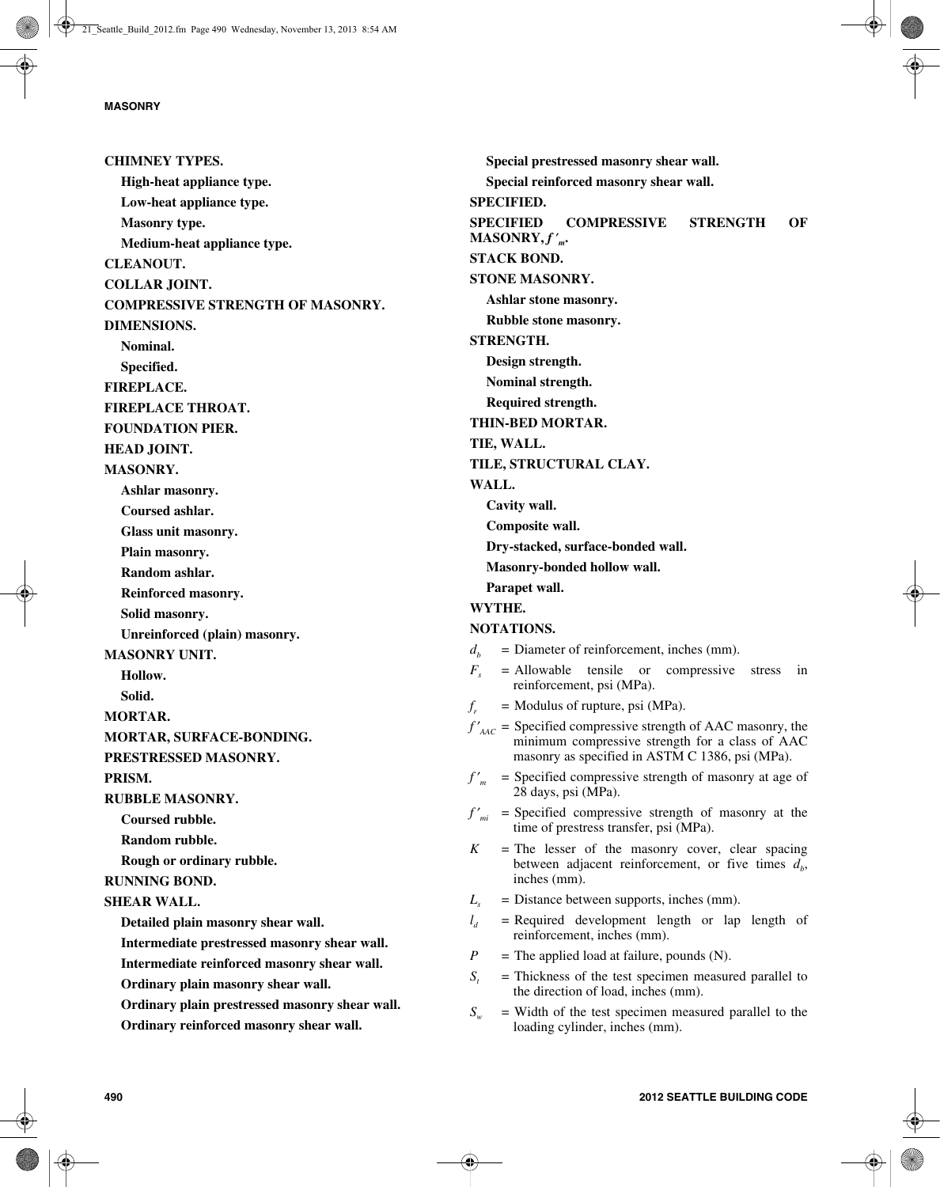**CHIMNEY TYPES. High-heat appliance type. Low-heat appliance type. Masonry type. Medium-heat appliance type. CLEANOUT. COLLAR JOINT. COMPRESSIVE STRENGTH OF MASONRY. DIMENSIONS. Nominal. Specified. FIREPLACE. FIREPLACE THROAT. FOUNDATION PIER. HEAD JOINT. MASONRY. Ashlar masonry. Coursed ashlar. Glass unit masonry. Plain masonry. Random ashlar. Reinforced masonry. Solid masonry. Unreinforced (plain) masonry. MASONRY UNIT. Hollow. Solid. MORTAR. MORTAR, SURFACE-BONDING. PRESTRESSED MASONRY. PRISM. RUBBLE MASONRY. Coursed rubble. Random rubble. Rough or ordinary rubble. RUNNING BOND. SHEAR WALL. Detailed plain masonry shear wall. Intermediate prestressed masonry shear wall. Intermediate reinforced masonry shear wall. Ordinary plain masonry shear wall. Ordinary plain prestressed masonry shear wall. Ordinary reinforced masonry shear wall.**

**Special prestressed masonry shear wall. Special reinforced masonry shear wall. SPECIFIED. SPECIFIED COMPRESSIVE STRENGTH OF**  $MASONRY, f'_{m}$ **STACK BOND. STONE MASONRY. Ashlar stone masonry. Rubble stone masonry. STRENGTH. Design strength. Nominal strength. Required strength. THIN-BED MORTAR. TIE, WALL. TILE, STRUCTURAL CLAY. WALL. Cavity wall. Composite wall. Dry-stacked, surface-bonded wall. Masonry-bonded hollow wall. Parapet wall. WYTHE. NOTATIONS.**  $d<sub>b</sub>$  = Diameter of reinforcement, inches (mm).  $F<sub>s</sub>$  = Allowable tensile or compressive stress in reinforcement, psi (MPa).  $f_r$  = Modulus of rupture, psi (MPa).  $f'_{\text{AAC}}$  = Specified compressive strength of AAC masonry, the minimum compressive strength for a class of AAC masonry as specified in ASTM C 1386, psi (MPa). *f* ′ *<sup>m</sup>* = Specified compressive strength of masonry at age of 28 days, psi (MPa). *f* ′ *mi* = Specified compressive strength of masonry at the time of prestress transfer, psi (MPa).  $K$  = The lesser of the masonry cover, clear spacing between adjacent reinforcement, or five times  $d<sub>b</sub>$ , inches (mm).  $L<sub>s</sub>$  = Distance between supports, inches (mm).  $l_a$  = Required development length or lap length of reinforcement, inches (mm).  $P =$  The applied load at failure, pounds (N).  $S_t$  = Thickness of the test specimen measured parallel to the direction of load, inches (mm).  $S_w$  = Width of the test specimen measured parallel to the loading cylinder, inches (mm).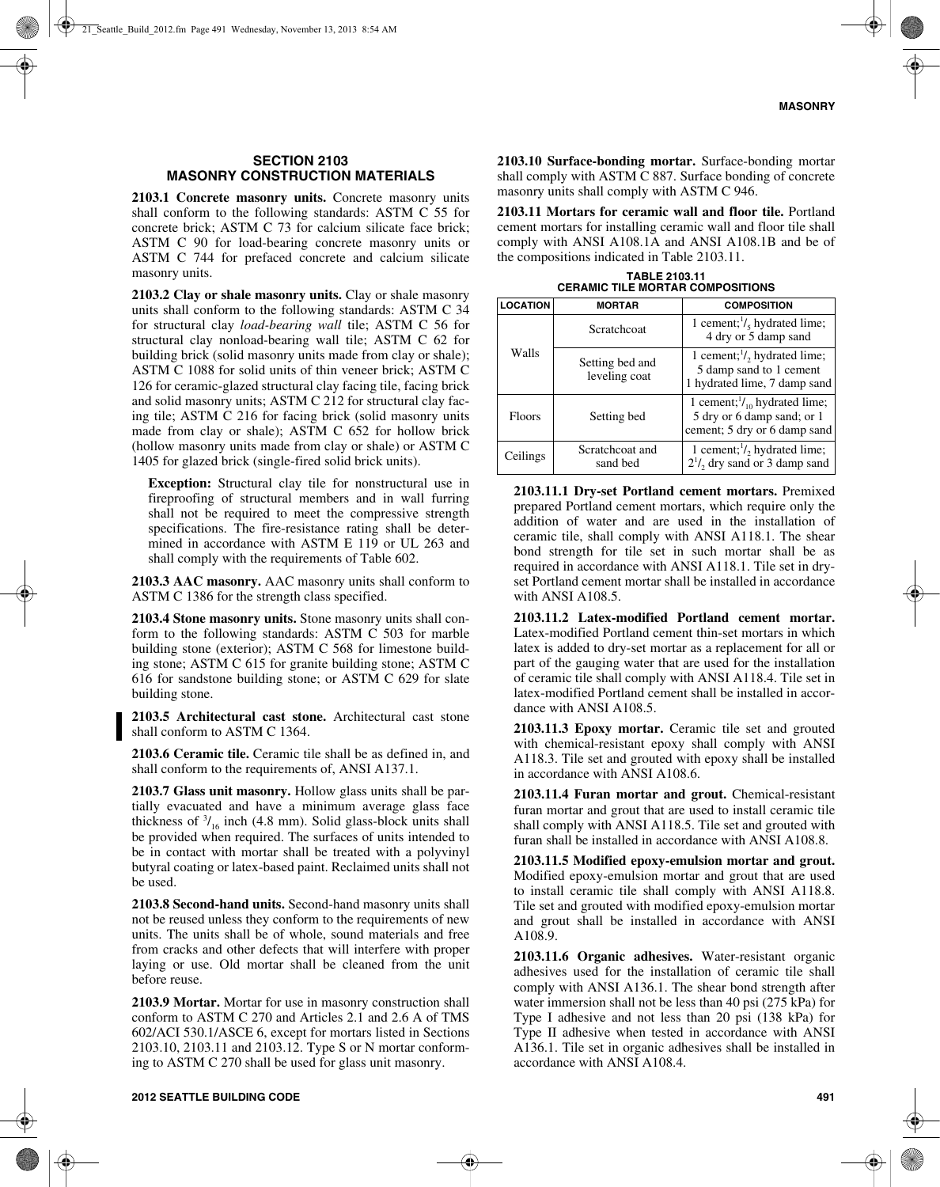## **SECTION 2103 MASONRY CONSTRUCTION MATERIALS**

**2103.1 Concrete masonry units.** Concrete masonry units shall conform to the following standards: ASTM C 55 for concrete brick; ASTM C 73 for calcium silicate face brick; ASTM C 90 for load-bearing concrete masonry units or ASTM C 744 for prefaced concrete and calcium silicate masonry units.

**2103.2 Clay or shale masonry units.** Clay or shale masonry units shall conform to the following standards: ASTM C 34 for structural clay *load-bearing wall* tile; ASTM C 56 for structural clay nonload-bearing wall tile; ASTM C 62 for building brick (solid masonry units made from clay or shale); ASTM C 1088 for solid units of thin veneer brick; ASTM C 126 for ceramic-glazed structural clay facing tile, facing brick and solid masonry units; ASTM C 212 for structural clay facing tile; ASTM C 216 for facing brick (solid masonry units made from clay or shale); ASTM C 652 for hollow brick (hollow masonry units made from clay or shale) or ASTM C 1405 for glazed brick (single-fired solid brick units).

**Exception:** Structural clay tile for nonstructural use in fireproofing of structural members and in wall furring shall not be required to meet the compressive strength specifications. The fire-resistance rating shall be determined in accordance with ASTM E 119 or UL 263 and shall comply with the requirements of Table 602.

**2103.3 AAC masonry.** AAC masonry units shall conform to ASTM C 1386 for the strength class specified.

**2103.4 Stone masonry units.** Stone masonry units shall conform to the following standards: ASTM C 503 for marble building stone (exterior); ASTM C 568 for limestone building stone; ASTM C 615 for granite building stone; ASTM C 616 for sandstone building stone; or ASTM C 629 for slate building stone.

**2103.5 Architectural cast stone.** Architectural cast stone shall conform to ASTM C 1364.

**2103.6 Ceramic tile.** Ceramic tile shall be as defined in, and shall conform to the requirements of, ANSI A137.1.

**2103.7 Glass unit masonry.** Hollow glass units shall be partially evacuated and have a minimum average glass face thickness of  $\frac{3}{16}$  inch (4.8 mm). Solid glass-block units shall be provided when required. The surfaces of units intended to be in contact with mortar shall be treated with a polyvinyl butyral coating or latex-based paint. Reclaimed units shall not be used.

**2103.8 Second-hand units.** Second-hand masonry units shall not be reused unless they conform to the requirements of new units. The units shall be of whole, sound materials and free from cracks and other defects that will interfere with proper laying or use. Old mortar shall be cleaned from the unit before reuse.

**2103.9 Mortar.** Mortar for use in masonry construction shall conform to ASTM C 270 and Articles 2.1 and 2.6 A of TMS 602/ACI 530.1/ASCE 6, except for mortars listed in Sections 2103.10, 2103.11 and 2103.12. Type S or N mortar conforming to ASTM C 270 shall be used for glass unit masonry.

masonry units shall comply with ASTM C 946.

the compositions indicated in Table 2103.11.

**TABLE 2103.11 CERAMIC TILE MORTAR COMPOSITIONS**

**2103.10 Surface-bonding mortar.** Surface-bonding mortar shall comply with ASTM C 887. Surface bonding of concrete

| <b>LOCATION</b> | <b>MORTAR</b>                    | <b>COMPOSITION</b>                                                                                    |
|-----------------|----------------------------------|-------------------------------------------------------------------------------------------------------|
| Walls           | Scratchcoat                      | 1 cement; $1/\xi$ hydrated lime;<br>4 dry or 5 damp sand                                              |
|                 | Setting bed and<br>leveling coat | 1 cement; $\frac{1}{2}$ hydrated lime;<br>5 damp sand to 1 cement<br>1 hydrated lime, 7 damp sand     |
| <b>Floors</b>   | Setting bed                      | 1 cement; $\frac{1}{10}$ hydrated lime;<br>5 dry or 6 damp sand; or 1<br>cement; 5 dry or 6 damp sand |
| Ceilings        | Scratchcoat and<br>sand bed      | 1 cement; $\frac{1}{2}$ hydrated lime;<br>$2^{1}/$ , dry sand or 3 damp sand                          |

**2103.11.1 Dry-set Portland cement mortars.** Premixed prepared Portland cement mortars, which require only the addition of water and are used in the installation of ceramic tile, shall comply with ANSI A118.1. The shear bond strength for tile set in such mortar shall be as required in accordance with ANSI A118.1. Tile set in dryset Portland cement mortar shall be installed in accordance with ANSI  $A108.5$ .

**2103.11.2 Latex-modified Portland cement mortar.** Latex-modified Portland cement thin-set mortars in which latex is added to dry-set mortar as a replacement for all or part of the gauging water that are used for the installation of ceramic tile shall comply with ANSI A118.4. Tile set in latex-modified Portland cement shall be installed in accordance with ANSI A108.5.

**2103.11.3 Epoxy mortar.** Ceramic tile set and grouted with chemical-resistant epoxy shall comply with ANSI A118.3. Tile set and grouted with epoxy shall be installed in accordance with ANSI A108.6.

**2103.11.4 Furan mortar and grout.** Chemical-resistant furan mortar and grout that are used to install ceramic tile shall comply with ANSI A118.5. Tile set and grouted with furan shall be installed in accordance with ANSI A108.8.

**2103.11.5 Modified epoxy-emulsion mortar and grout.** Modified epoxy-emulsion mortar and grout that are used to install ceramic tile shall comply with ANSI A118.8. Tile set and grouted with modified epoxy-emulsion mortar and grout shall be installed in accordance with ANSI A108.9.

**2103.11.6 Organic adhesives.** Water-resistant organic adhesives used for the installation of ceramic tile shall comply with ANSI A136.1. The shear bond strength after water immersion shall not be less than 40 psi (275 kPa) for Type I adhesive and not less than 20 psi (138 kPa) for Type II adhesive when tested in accordance with ANSI A136.1. Tile set in organic adhesives shall be installed in accordance with ANSI A108.4.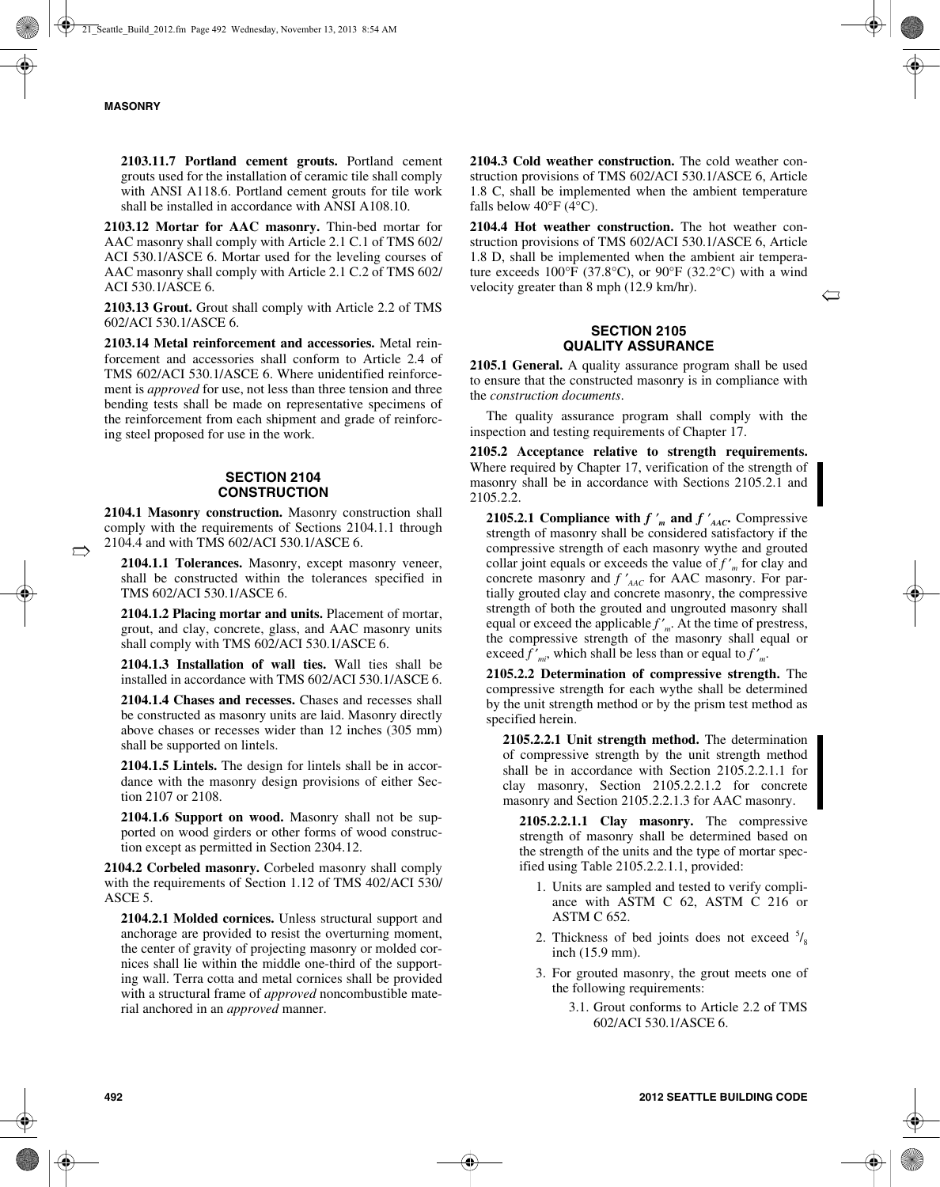$\Rightarrow$ 

**2103.11.7 Portland cement grouts.** Portland cement grouts used for the installation of ceramic tile shall comply with ANSI A118.6. Portland cement grouts for tile work shall be installed in accordance with ANSI A108.10.

**2103.12 Mortar for AAC masonry.** Thin-bed mortar for AAC masonry shall comply with Article 2.1 C.1 of TMS 602/ ACI 530.1/ASCE 6. Mortar used for the leveling courses of AAC masonry shall comply with Article 2.1 C.2 of TMS 602/ ACI 530.1/ASCE 6.

**2103.13 Grout.** Grout shall comply with Article 2.2 of TMS 602/ACI 530.1/ASCE 6.

**2103.14 Metal reinforcement and accessories.** Metal reinforcement and accessories shall conform to Article 2.4 of TMS 602/ACI 530.1/ASCE 6. Where unidentified reinforcement is *approved* for use, not less than three tension and three bending tests shall be made on representative specimens of the reinforcement from each shipment and grade of reinforcing steel proposed for use in the work.

## **SECTION 2104 CONSTRUCTION**

**2104.1 Masonry construction.** Masonry construction shall comply with the requirements of Sections 2104.1.1 through 2104.4 and with TMS 602/ACI 530.1/ASCE 6.

**2104.1.1 Tolerances.** Masonry, except masonry veneer, shall be constructed within the tolerances specified in TMS 602/ACI 530.1/ASCE 6.

**2104.1.2 Placing mortar and units.** Placement of mortar, grout, and clay, concrete, glass, and AAC masonry units shall comply with TMS 602/ACI 530.1/ASCE 6.

**2104.1.3 Installation of wall ties.** Wall ties shall be installed in accordance with TMS 602/ACI 530.1/ASCE 6.

**2104.1.4 Chases and recesses.** Chases and recesses shall be constructed as masonry units are laid. Masonry directly above chases or recesses wider than 12 inches (305 mm) shall be supported on lintels.

**2104.1.5 Lintels.** The design for lintels shall be in accordance with the masonry design provisions of either Section 2107 or 2108.

**2104.1.6 Support on wood.** Masonry shall not be supported on wood girders or other forms of wood construction except as permitted in Section 2304.12.

**2104.2 Corbeled masonry.** Corbeled masonry shall comply with the requirements of Section 1.12 of TMS 402/ACI 530/ ASCE 5.

**2104.2.1 Molded cornices.** Unless structural support and anchorage are provided to resist the overturning moment, the center of gravity of projecting masonry or molded cornices shall lie within the middle one-third of the supporting wall. Terra cotta and metal cornices shall be provided with a structural frame of *approved* noncombustible material anchored in an *approved* manner.

**2104.3 Cold weather construction.** The cold weather construction provisions of TMS 602/ACI 530.1/ASCE 6, Article 1.8 C, shall be implemented when the ambient temperature falls below  $40^{\circ}$ F (4 $^{\circ}$ C).

**2104.4 Hot weather construction.** The hot weather construction provisions of TMS 602/ACI 530.1/ASCE 6, Article 1.8 D, shall be implemented when the ambient air temperature exceeds  $100^{\circ}F$  (37.8°C), or 90°F (32.2°C) with a wind velocity greater than 8 mph (12.9 km/hr).

 $\hookleftarrow$ 

## **SECTION 2105 QUALITY ASSURANCE**

**2105.1 General.** A quality assurance program shall be used to ensure that the constructed masonry is in compliance with the *construction documents*.

The quality assurance program shall comply with the inspection and testing requirements of Chapter 17.

**2105.2 Acceptance relative to strength requirements.** Where required by Chapter 17, verification of the strength of masonry shall be in accordance with Sections 2105.2.1 and 2105.2.2.

**2105.2.1 Compliance with**  $f'$   $'$ <sup>*m*</sup> and  $f'$ <sup> $'$ </sup> $_{\text{AAC}}$ . Compressive strength of masonry shall be considered satisfactory if the compressive strength of each masonry wythe and grouted collar joint equals or exceeds the value of *f* ′ *<sup>m</sup>* for clay and concrete masonry and  $f'_{\text{AAC}}$  for AAC masonry. For partially grouted clay and concrete masonry, the compressive strength of both the grouted and ungrouted masonry shall equal or exceed the applicable *f* ′ *<sup>m</sup>*. At the time of prestress, the compressive strength of the masonry shall equal or exceed *f* ′ *mi*, which shall be less than or equal to *f* ′ *m*.

**2105.2.2 Determination of compressive strength.** The compressive strength for each wythe shall be determined by the unit strength method or by the prism test method as specified herein.

**2105.2.2.1 Unit strength method.** The determination of compressive strength by the unit strength method shall be in accordance with Section 2105.2.2.1.1 for clay masonry, Section 2105.2.2.1.2 for concrete masonry and Section 2105.2.2.1.3 for AAC masonry.

**2105.2.2.1.1 Clay masonry.** The compressive strength of masonry shall be determined based on the strength of the units and the type of mortar specified using Table 2105.2.2.1.1, provided:

- 1. Units are sampled and tested to verify compliance with ASTM C 62, ASTM C 216 or ASTM C 652.
- 2. Thickness of bed joints does not exceed  $\frac{5}{8}$ inch (15.9 mm).
- 3. For grouted masonry, the grout meets one of the following requirements:
	- 3.1. Grout conforms to Article 2.2 of TMS 602/ACI 530.1/ASCE 6.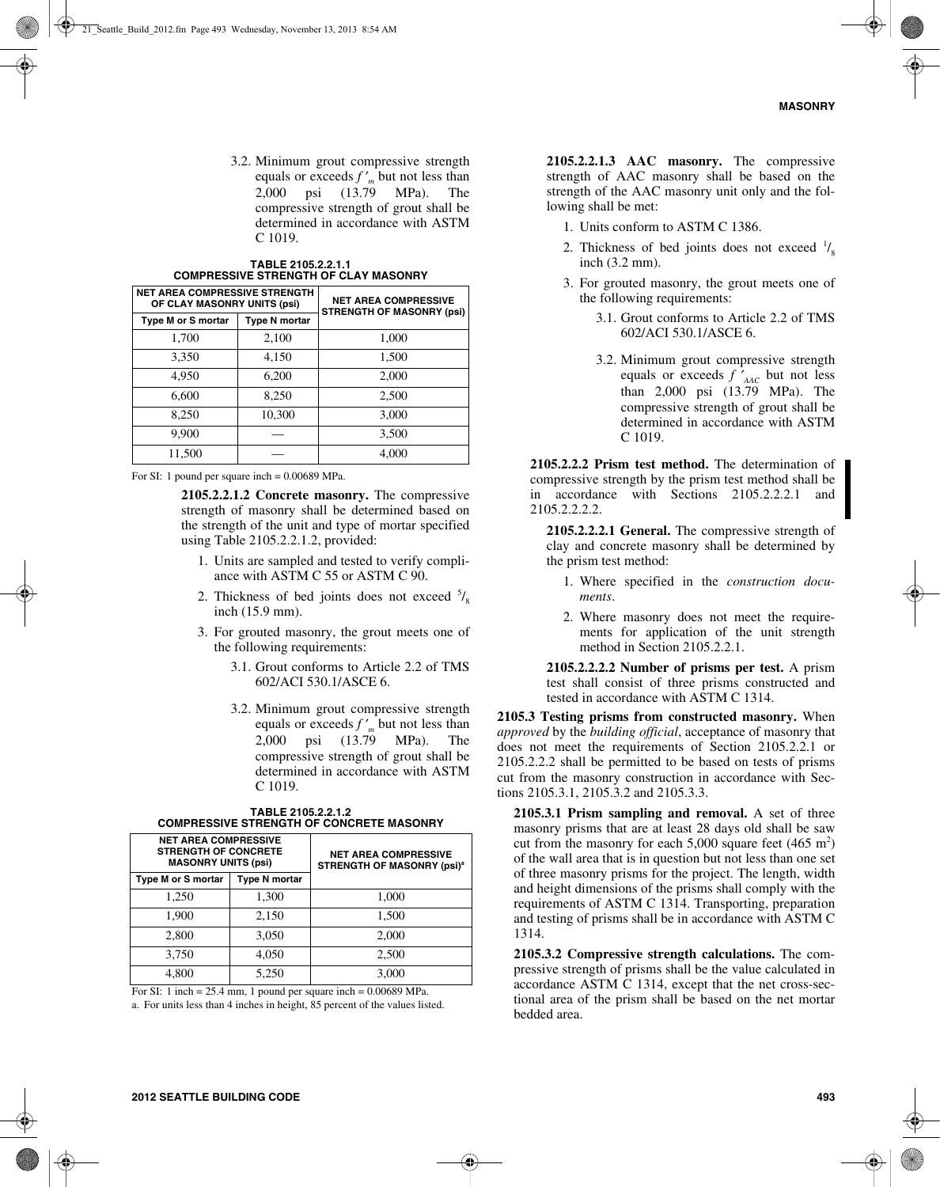3.2. Minimum grout compressive strength equals or exceeds *f* ′ *<sup>m</sup>* but not less than 2,000 psi (13.79 MPa). The compressive strength of grout shall be determined in accordance with ASTM C 1019.

| <b>NET AREA COMPRESSIVE STRENGTH</b><br>OF CLAY MASONRY UNITS (psi) |                      | <b>NET AREA COMPRESSIVE</b><br><b>STRENGTH OF MASONRY (psi)</b> |
|---------------------------------------------------------------------|----------------------|-----------------------------------------------------------------|
| Type M or S mortar                                                  | <b>Type N mortar</b> |                                                                 |
| 1,700                                                               | 2,100                | 1,000                                                           |
| 3,350                                                               | 4,150                | 1,500                                                           |
| 4,950                                                               | 6,200                | 2,000                                                           |
| 6,600                                                               | 8,250                | 2,500                                                           |
| 8,250                                                               | 10,300               | 3,000                                                           |
| 9,900                                                               |                      | 3,500                                                           |
| 11,500                                                              |                      | 4,000                                                           |

| TABLE 2105.2.2.1.1                          |
|---------------------------------------------|
| <b>COMPRESSIVE STRENGTH OF CLAY MASONRY</b> |

For SI: 1 pound per square inch = 0.00689 MPa.

**2105.2.2.1.2 Concrete masonry.** The compressive strength of masonry shall be determined based on the strength of the unit and type of mortar specified using Table 2105.2.2.1.2, provided:

- 1. Units are sampled and tested to verify compliance with ASTM C 55 or ASTM C 90.
- 2. Thickness of bed joints does not exceed  $\frac{5}{8}$ inch (15.9 mm).
- 3. For grouted masonry, the grout meets one of the following requirements:
	- 3.1. Grout conforms to Article 2.2 of TMS 602/ACI 530.1/ASCE 6.
	- 3.2. Minimum grout compressive strength equals or exceeds *f* ′ *<sup>m</sup>* but not less than 2,000 psi (13.79 MPa). The compressive strength of grout shall be determined in accordance with ASTM C 1019.

| <b>NET AREA COMPRESSIVE</b><br><b>STRENGTH OF CONCRETE</b><br><b>MASONRY UNITS (psi)</b> |                      | <b>NET AREA COMPRESSIVE</b><br><b>STRENGTH OF MASONRY (psi)<sup>a</sup></b> |
|------------------------------------------------------------------------------------------|----------------------|-----------------------------------------------------------------------------|
| Type M or S mortar                                                                       | <b>Type N mortar</b> |                                                                             |
| 1,250                                                                                    | 1,300                | 1,000                                                                       |
| 1,900                                                                                    | 2,150                | 1,500                                                                       |
| 2,800                                                                                    | 3,050                | 2,000                                                                       |
| 3,750                                                                                    | 4.050                | 2,500                                                                       |
| 4.800                                                                                    | 5.250                | 3.000                                                                       |

**TABLE 2105.2.2.1.2 COMPRESSIVE STRENGTH OF CONCRETE MASONRY**

For SI: 1 inch =  $25.4$  mm, 1 pound per square inch =  $0.00689$  MPa.

a. For units less than 4 inches in height, 85 percent of the values listed.

**2105.2.2.1.3 AAC masonry.** The compressive strength of AAC masonry shall be based on the strength of the AAC masonry unit only and the following shall be met:

- 1. Units conform to ASTM C 1386.
- 2. Thickness of bed joints does not exceed  $\frac{1}{8}$ inch (3.2 mm).
- 3. For grouted masonry, the grout meets one of the following requirements:
	- 3.1. Grout conforms to Article 2.2 of TMS 602/ACI 530.1/ASCE 6.
	- 3.2. Minimum grout compressive strength equals or exceeds *f* ′ *AAC* but not less than 2,000 psi (13.79 MPa). The compressive strength of grout shall be determined in accordance with ASTM C 1019.

**2105.2.2.2 Prism test method.** The determination of compressive strength by the prism test method shall be in accordance with Sections 2105.2.2.2.1 and 2105.2.2.2.2.

**2105.2.2.2.1 General.** The compressive strength of clay and concrete masonry shall be determined by the prism test method:

- 1. Where specified in the *construction documents*.
- 2. Where masonry does not meet the requirements for application of the unit strength method in Section 2105.2.2.1.

**2105.2.2.2.2 Number of prisms per test.** A prism test shall consist of three prisms constructed and tested in accordance with ASTM C 1314.

**2105.3 Testing prisms from constructed masonry.** When *approved* by the *building official*, acceptance of masonry that does not meet the requirements of Section 2105.2.2.1 or 2105.2.2.2 shall be permitted to be based on tests of prisms cut from the masonry construction in accordance with Sections 2105.3.1, 2105.3.2 and 2105.3.3.

**2105.3.1 Prism sampling and removal.** A set of three masonry prisms that are at least 28 days old shall be saw cut from the masonry for each  $5,000$  square feet  $(465 \text{ m}^2)$ of the wall area that is in question but not less than one set of three masonry prisms for the project. The length, width and height dimensions of the prisms shall comply with the requirements of ASTM C 1314. Transporting, preparation and testing of prisms shall be in accordance with ASTM C 1314.

**2105.3.2 Compressive strength calculations.** The compressive strength of prisms shall be the value calculated in accordance ASTM C 1314, except that the net cross-sectional area of the prism shall be based on the net mortar bedded area.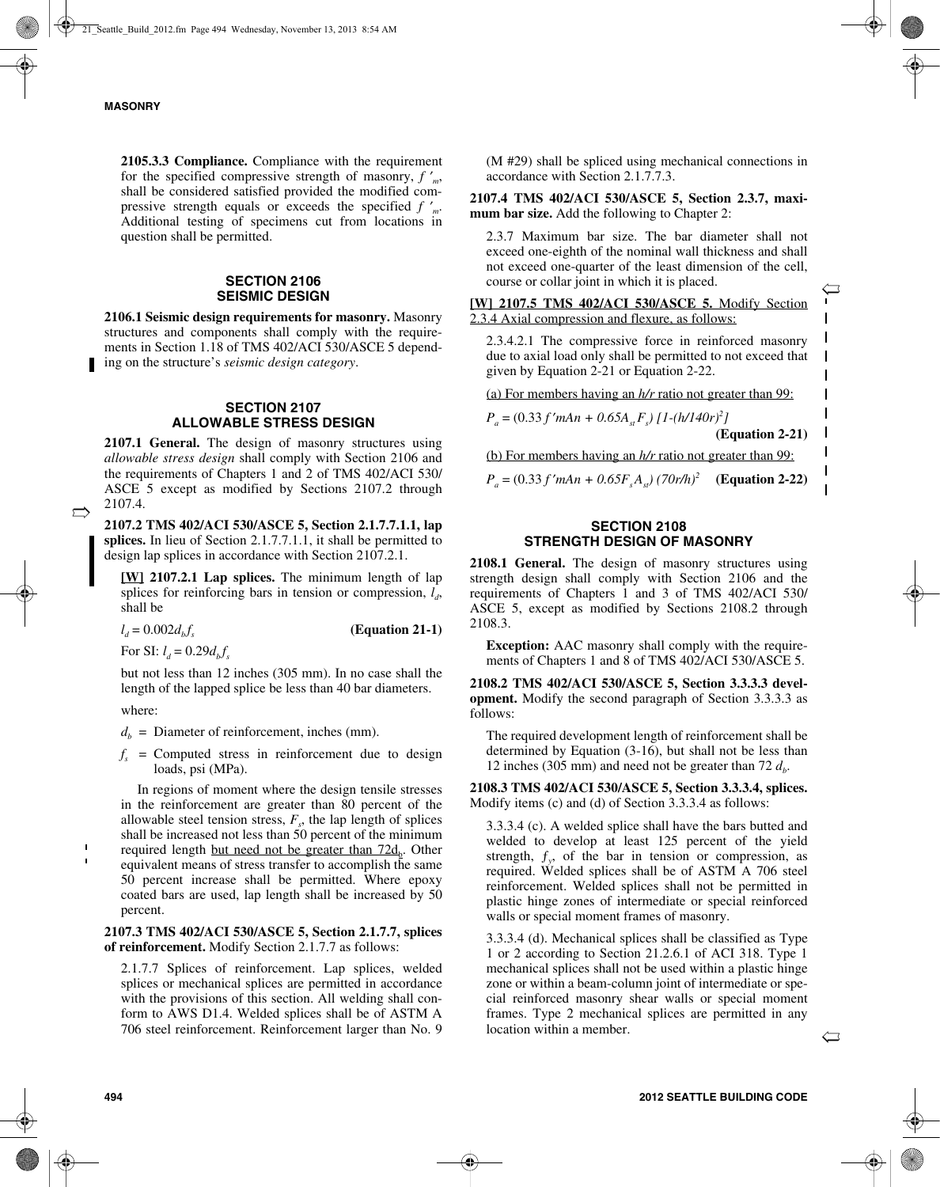**2105.3.3 Compliance.** Compliance with the requirement for the specified compressive strength of masonry, *f* ′ *m*, shall be considered satisfied provided the modified compressive strength equals or exceeds the specified *f* ′ *m*. Additional testing of specimens cut from locations in question shall be permitted.

## **SECTION 2106 SEISMIC DESIGN**

**2106.1 Seismic design requirements for masonry.** Masonry structures and components shall comply with the requirements in Section 1.18 of TMS 402/ACI 530/ASCE 5 depending on the structure's *seismic design category*.

## **SECTION 2107 ALLOWABLE STRESS DESIGN**

**2107.1 General.** The design of masonry structures using *allowable stress design* shall comply with Section 2106 and the requirements of Chapters 1 and 2 of TMS 402/ACI 530/ ASCE 5 except as modified by Sections 2107.2 through 2107.4.

**2107.2 TMS 402/ACI 530/ASCE 5, Section 2.1.7.7.1.1, lap splices.** In lieu of Section 2.1.7.7.1.1, it shall be permitted to design lap splices in accordance with Section 2107.2.1.

**[W] 2107.2.1 Lap splices.** The minimum length of lap splices for reinforcing bars in tension or compression,  $l_a$ , shall be

 $l_d = 0.002 d_b f_s$  (Equation 21-1)

For SI:  $l_d = 0.29 d_b f_s$ 

but not less than 12 inches (305 mm). In no case shall the length of the lapped splice be less than 40 bar diameters.

where:

 $\Rightarrow$ 

 $d<sub>b</sub>$  = Diameter of reinforcement, inches (mm).

 $f<sub>s</sub>$  = Computed stress in reinforcement due to design loads, psi (MPa).

In regions of moment where the design tensile stresses in the reinforcement are greater than 80 percent of the allowable steel tension stress,  $F_s$ , the lap length of splices shall be increased not less than 50 percent of the minimum required length but need not be greater than  $72d_b$ . Other equivalent means of stress transfer to accomplish the same 50 percent increase shall be permitted. Where epoxy coated bars are used, lap length shall be increased by 50 percent.

## **2107.3 TMS 402/ACI 530/ASCE 5, Section 2.1.7.7, splices of reinforcement.** Modify Section 2.1.7.7 as follows:

2.1.7.7 Splices of reinforcement. Lap splices, welded splices or mechanical splices are permitted in accordance with the provisions of this section. All welding shall conform to AWS D1.4. Welded splices shall be of ASTM A 706 steel reinforcement. Reinforcement larger than No. 9

(M #29) shall be spliced using mechanical connections in accordance with Section 2.1.7.7.3.

**2107.4 TMS 402/ACI 530/ASCE 5, Section 2.3.7, maximum bar size.** Add the following to Chapter 2:

2.3.7 Maximum bar size. The bar diameter shall not exceed one-eighth of the nominal wall thickness and shall not exceed one-quarter of the least dimension of the cell, course or collar joint in which it is placed.

**[W] 2107.5 TMS 402/ACI 530/ASCE 5.** Modify Section 2.3.4 Axial compression and flexure, as follows:

2.3.4.2.1 The compressive force in reinforced masonry due to axial load only shall be permitted to not exceed that given by Equation 2-21 or Equation 2-22.

(a) For members having an *h/r* ratio not greater than 99:

 $P_a = (0.33 f' m A n + 0.65 A_{st} F_s) [1-(h/140r)^2]$ 

**(Equation 2-21)**

ñ

 $\mathbf{I}$  $\mathbf{I}$ 

 $\mathbf{I}$  $\mathbf{I}$  $\mathsf{l}$  $\mathbf l$  $\mathbf I$  $\mathbf{I}$ 

(b) For members having an *h/r* ratio not greater than 99:

 $P_a = (0.33 f' m A n + 0.65 F<sub>s</sub> A<sub>st</sub>) (70 r/h)^2$  (Equation 2-22)

## **SECTION 2108 STRENGTH DESIGN OF MASONRY**

**2108.1 General.** The design of masonry structures using strength design shall comply with Section 2106 and the requirements of Chapters 1 and 3 of TMS 402/ACI 530/ ASCE 5, except as modified by Sections 2108.2 through 2108.3.

**Exception:** AAC masonry shall comply with the requirements of Chapters 1 and 8 of TMS 402/ACI 530/ASCE 5.

**2108.2 TMS 402/ACI 530/ASCE 5, Section 3.3.3.3 development.** Modify the second paragraph of Section 3.3.3.3 as follows:

The required development length of reinforcement shall be determined by Equation (3-16), but shall not be less than 12 inches (305 mm) and need not be greater than  $72 d_b$ .

**2108.3 TMS 402/ACI 530/ASCE 5, Section 3.3.3.4, splices.** Modify items (c) and (d) of Section 3.3.3.4 as follows:

3.3.3.4 (c). A welded splice shall have the bars butted and welded to develop at least 125 percent of the yield strength,  $f_y$ , of the bar in tension or compression, as required. Welded splices shall be of ASTM A 706 steel reinforcement. Welded splices shall not be permitted in plastic hinge zones of intermediate or special reinforced walls or special moment frames of masonry.

3.3.3.4 (d). Mechanical splices shall be classified as Type 1 or 2 according to Section 21.2.6.1 of ACI 318. Type 1 mechanical splices shall not be used within a plastic hinge zone or within a beam-column joint of intermediate or special reinforced masonry shear walls or special moment frames. Type 2 mechanical splices are permitted in any location within a member.

 $\hookleftarrow$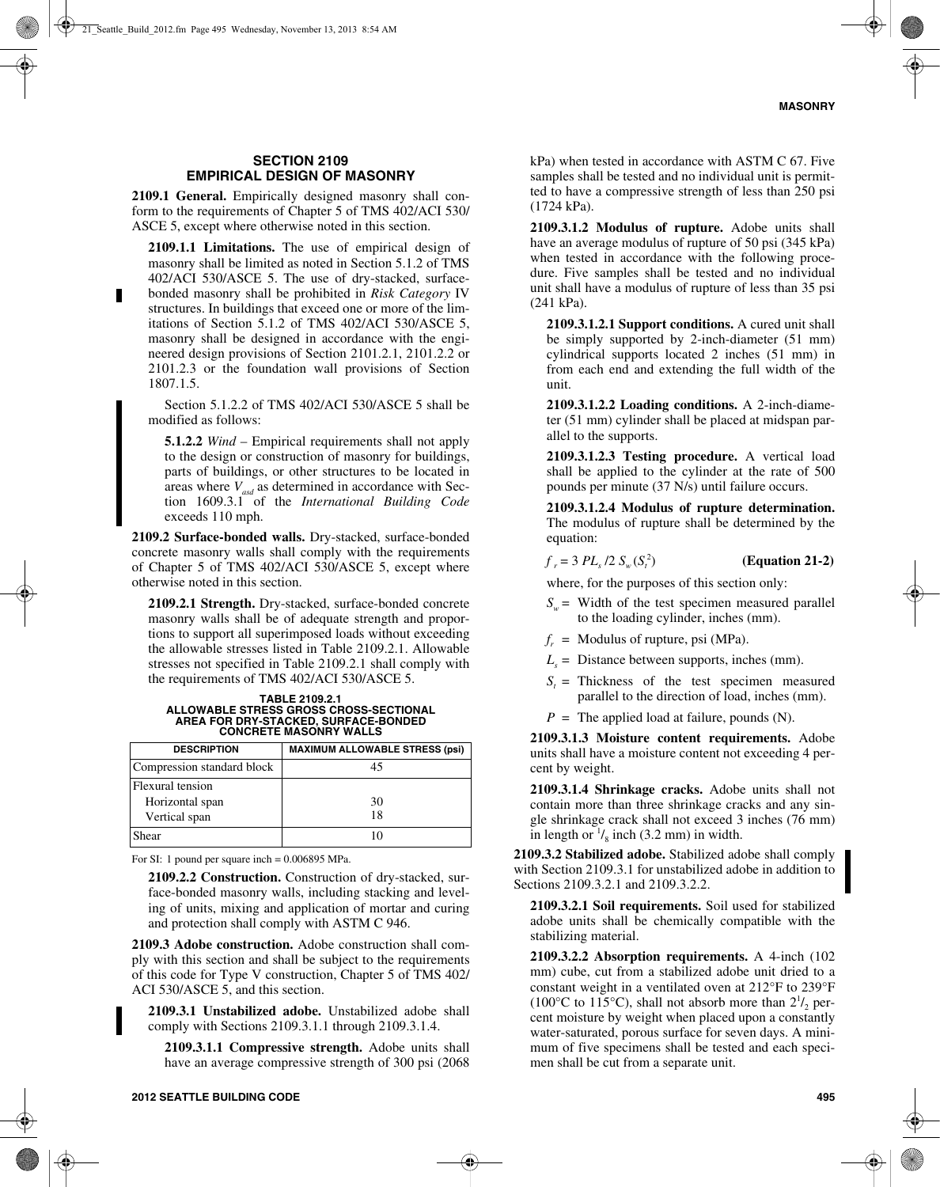## **SECTION 2109 EMPIRICAL DESIGN OF MASONRY**

**2109.1 General.** Empirically designed masonry shall conform to the requirements of Chapter 5 of TMS 402/ACI 530/ ASCE 5, except where otherwise noted in this section.

**2109.1.1 Limitations.** The use of empirical design of masonry shall be limited as noted in Section 5.1.2 of TMS 402/ACI 530/ASCE 5. The use of dry-stacked, surfacebonded masonry shall be prohibited in *Risk Category* IV structures. In buildings that exceed one or more of the limitations of Section 5.1.2 of TMS 402/ACI 530/ASCE 5, masonry shall be designed in accordance with the engineered design provisions of Section 2101.2.1, 2101.2.2 or 2101.2.3 or the foundation wall provisions of Section 1807.1.5.

Section 5.1.2.2 of TMS 402/ACI 530/ASCE 5 shall be modified as follows:

**5.1.2.2** *Wind* – Empirical requirements shall not apply to the design or construction of masonry for buildings, parts of buildings, or other structures to be located in areas where  $V_{\text{asd}}$  as determined in accordance with Section 1609.3.1 of the *International Building Code* exceeds 110 mph.

**2109.2 Surface-bonded walls.** Dry-stacked, surface-bonded concrete masonry walls shall comply with the requirements of Chapter 5 of TMS 402/ACI 530/ASCE 5, except where otherwise noted in this section.

**2109.2.1 Strength.** Dry-stacked, surface-bonded concrete masonry walls shall be of adequate strength and proportions to support all superimposed loads without exceeding the allowable stresses listed in Table 2109.2.1. Allowable stresses not specified in Table 2109.2.1 shall comply with the requirements of TMS 402/ACI 530/ASCE 5.

## **TABLE 2109.2.1 ALLOWABLE STRESS GROSS CROSS-SECTIONAL AREA FOR DRY-STACKED, SURFACE-BONDED CONCRETE MASONRY WALLS**

| <b>DESCRIPTION</b>                  | <b>MAXIMUM ALLOWABLE STRESS (psi)</b> |
|-------------------------------------|---------------------------------------|
| Compression standard block          | 45                                    |
| Flexural tension<br>Horizontal span | 30                                    |
| Vertical span                       | 18                                    |
| Shear                               | 10                                    |

For SI: 1 pound per square inch = 0.006895 MPa.

**2109.2.2 Construction.** Construction of dry-stacked, surface-bonded masonry walls, including stacking and leveling of units, mixing and application of mortar and curing and protection shall comply with ASTM C 946.

**2109.3 Adobe construction.** Adobe construction shall comply with this section and shall be subject to the requirements of this code for Type V construction, Chapter 5 of TMS 402/ ACI 530/ASCE 5, and this section.

**2109.3.1 Unstabilized adobe.** Unstabilized adobe shall comply with Sections 2109.3.1.1 through 2109.3.1.4.

**2109.3.1.1 Compressive strength.** Adobe units shall have an average compressive strength of 300 psi (2068

kPa) when tested in accordance with ASTM C 67. Five samples shall be tested and no individual unit is permitted to have a compressive strength of less than 250 psi (1724 kPa).

**2109.3.1.2 Modulus of rupture.** Adobe units shall have an average modulus of rupture of 50 psi (345 kPa) when tested in accordance with the following procedure. Five samples shall be tested and no individual unit shall have a modulus of rupture of less than 35 psi (241 kPa).

**2109.3.1.2.1 Support conditions.** A cured unit shall be simply supported by 2-inch-diameter (51 mm) cylindrical supports located 2 inches (51 mm) in from each end and extending the full width of the unit.

**2109.3.1.2.2 Loading conditions.** A 2-inch-diameter (51 mm) cylinder shall be placed at midspan parallel to the supports.

**2109.3.1.2.3 Testing procedure.** A vertical load shall be applied to the cylinder at the rate of 500 pounds per minute (37 N/s) until failure occurs.

**2109.3.1.2.4 Modulus of rupture determination.** The modulus of rupture shall be determined by the equation:

#### $f_r = 3 PL_s / 2 S_w (S_t^2)$ ) **(Equation 21-2)**

where, for the purposes of this section only:

- $S_{n}$  = Width of the test specimen measured parallel to the loading cylinder, inches (mm).
- $f_r$  = Modulus of rupture, psi (MPa).
- $L<sub>s</sub>$  = Distance between supports, inches (mm).
- $S_t$  = Thickness of the test specimen measured parallel to the direction of load, inches (mm).
- $P =$  The applied load at failure, pounds (N).

**2109.3.1.3 Moisture content requirements.** Adobe units shall have a moisture content not exceeding 4 percent by weight.

**2109.3.1.4 Shrinkage cracks.** Adobe units shall not contain more than three shrinkage cracks and any single shrinkage crack shall not exceed 3 inches (76 mm) in length or  $\frac{1}{8}$  inch (3.2 mm) in width.

**2109.3.2 Stabilized adobe.** Stabilized adobe shall comply with Section 2109.3.1 for unstabilized adobe in addition to Sections 2109.3.2.1 and 2109.3.2.2.

**2109.3.2.1 Soil requirements.** Soil used for stabilized adobe units shall be chemically compatible with the stabilizing material.

**2109.3.2.2 Absorption requirements.** A 4-inch (102 mm) cube, cut from a stabilized adobe unit dried to a constant weight in a ventilated oven at 212°F to 239°F (100 $^{\circ}$ C to 115 $^{\circ}$ C), shall not absorb more than  $2^{1/2}$  percent moisture by weight when placed upon a constantly water-saturated, porous surface for seven days. A minimum of five specimens shall be tested and each specimen shall be cut from a separate unit.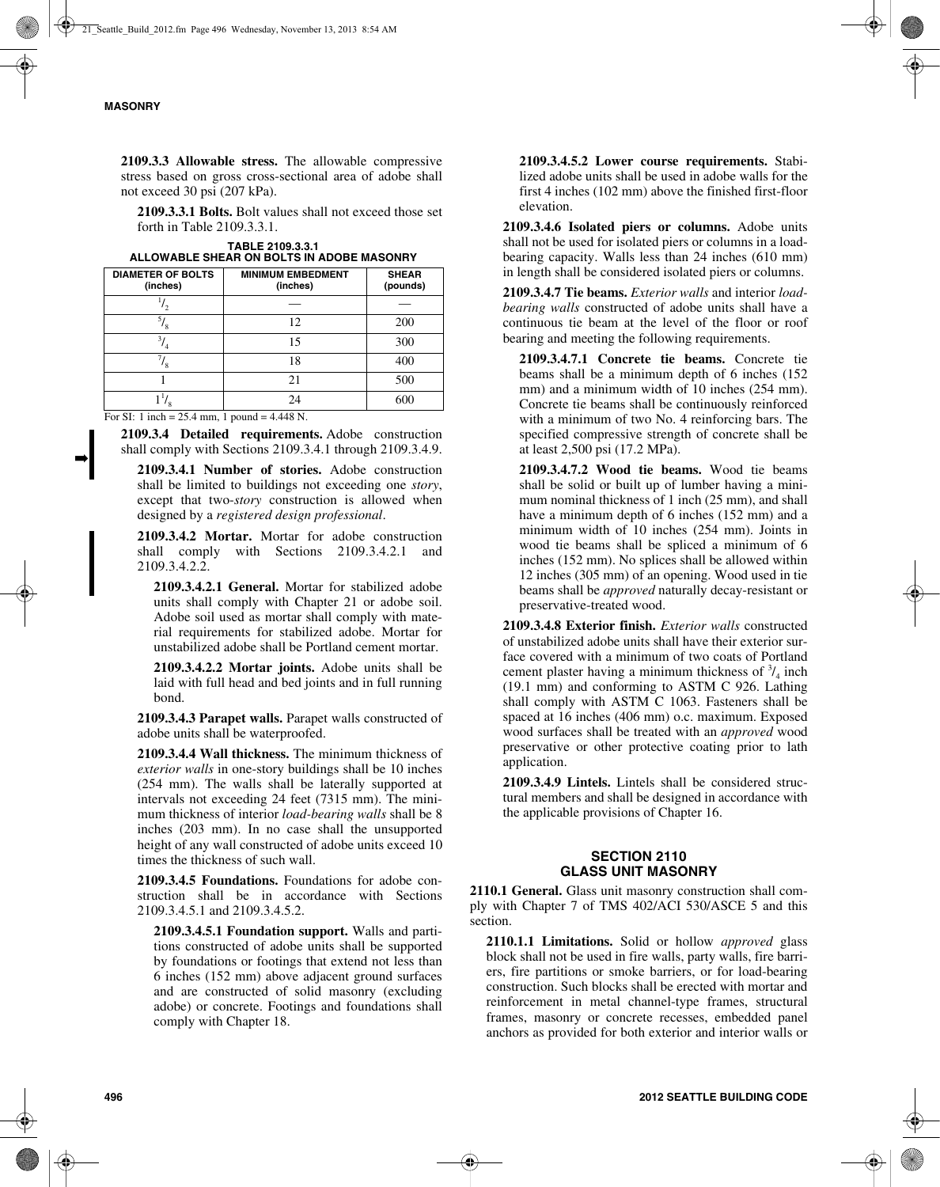➡

**2109.3.3 Allowable stress.** The allowable compressive stress based on gross cross-sectional area of adobe shall not exceed 30 psi (207 kPa).

**2109.3.3.1 Bolts.** Bolt values shall not exceed those set forth in Table 2109.3.3.1.

| <b>DIAMETER OF BOLTS</b><br>(inches) | <b>MINIMUM EMBEDMENT</b><br>(inches) | <b>SHEAR</b><br>(pounds) |
|--------------------------------------|--------------------------------------|--------------------------|
|                                      |                                      |                          |
|                                      | 12                                   | 200                      |
| 3.                                   | 15                                   | 300                      |
|                                      | 18                                   | 400                      |
|                                      | 21                                   | 500                      |
| 11 <sub>I</sub>                      | 24                                   | 600                      |

| TABLE 2109.3.3.1                          |
|-------------------------------------------|
| ALLOWABLE SHEAR ON BOLTS IN ADOBE MASONRY |

For SI: 1 inch = 25.4 mm, 1 pound = 4.448 N.

**2109.3.4 Detailed requirements.** Adobe construction shall comply with Sections 2109.3.4.1 through 2109.3.4.9.

**2109.3.4.1 Number of stories.** Adobe construction shall be limited to buildings not exceeding one *story*, except that two-*story* construction is allowed when designed by a *registered design professional*.

**2109.3.4.2 Mortar.** Mortar for adobe construction shall comply with Sections 2109.3.4.2.1 and 2109.3.4.2.2.

**2109.3.4.2.1 General.** Mortar for stabilized adobe units shall comply with Chapter 21 or adobe soil. Adobe soil used as mortar shall comply with material requirements for stabilized adobe. Mortar for unstabilized adobe shall be Portland cement mortar.

**2109.3.4.2.2 Mortar joints.** Adobe units shall be laid with full head and bed joints and in full running bond.

**2109.3.4.3 Parapet walls.** Parapet walls constructed of adobe units shall be waterproofed.

**2109.3.4.4 Wall thickness.** The minimum thickness of *exterior walls* in one-story buildings shall be 10 inches (254 mm). The walls shall be laterally supported at intervals not exceeding 24 feet (7315 mm). The minimum thickness of interior *load-bearing walls* shall be 8 inches (203 mm). In no case shall the unsupported height of any wall constructed of adobe units exceed 10 times the thickness of such wall.

**2109.3.4.5 Foundations.** Foundations for adobe construction shall be in accordance with Sections 2109.3.4.5.1 and 2109.3.4.5.2.

**2109.3.4.5.1 Foundation support.** Walls and partitions constructed of adobe units shall be supported by foundations or footings that extend not less than 6 inches (152 mm) above adjacent ground surfaces and are constructed of solid masonry (excluding adobe) or concrete. Footings and foundations shall comply with Chapter 18.

**2109.3.4.5.2 Lower course requirements.** Stabilized adobe units shall be used in adobe walls for the first 4 inches (102 mm) above the finished first-floor elevation.

**2109.3.4.6 Isolated piers or columns.** Adobe units shall not be used for isolated piers or columns in a loadbearing capacity. Walls less than 24 inches (610 mm) in length shall be considered isolated piers or columns.

**2109.3.4.7 Tie beams.** *Exterior walls* and interior *loadbearing walls* constructed of adobe units shall have a continuous tie beam at the level of the floor or roof bearing and meeting the following requirements.

**2109.3.4.7.1 Concrete tie beams.** Concrete tie beams shall be a minimum depth of 6 inches (152 mm) and a minimum width of 10 inches (254 mm). Concrete tie beams shall be continuously reinforced with a minimum of two No. 4 reinforcing bars. The specified compressive strength of concrete shall be at least 2,500 psi (17.2 MPa).

**2109.3.4.7.2 Wood tie beams.** Wood tie beams shall be solid or built up of lumber having a minimum nominal thickness of 1 inch (25 mm), and shall have a minimum depth of 6 inches (152 mm) and a minimum width of 10 inches (254 mm). Joints in wood tie beams shall be spliced a minimum of 6 inches (152 mm). No splices shall be allowed within 12 inches (305 mm) of an opening. Wood used in tie beams shall be *approved* naturally decay-resistant or preservative-treated wood.

**2109.3.4.8 Exterior finish.** *Exterior walls* constructed of unstabilized adobe units shall have their exterior surface covered with a minimum of two coats of Portland cement plaster having a minimum thickness of  $\frac{3}{4}$  inch (19.1 mm) and conforming to ASTM C 926. Lathing shall comply with ASTM C 1063. Fasteners shall be spaced at 16 inches (406 mm) o.c. maximum. Exposed wood surfaces shall be treated with an *approved* wood preservative or other protective coating prior to lath application.

**2109.3.4.9 Lintels.** Lintels shall be considered structural members and shall be designed in accordance with the applicable provisions of Chapter 16.

## **SECTION 2110 GLASS UNIT MASONRY**

**2110.1 General.** Glass unit masonry construction shall comply with Chapter 7 of TMS 402/ACI 530/ASCE 5 and this section.

**2110.1.1 Limitations.** Solid or hollow *approved* glass block shall not be used in fire walls, party walls, fire barriers, fire partitions or smoke barriers, or for load-bearing construction. Such blocks shall be erected with mortar and reinforcement in metal channel-type frames, structural frames, masonry or concrete recesses, embedded panel anchors as provided for both exterior and interior walls or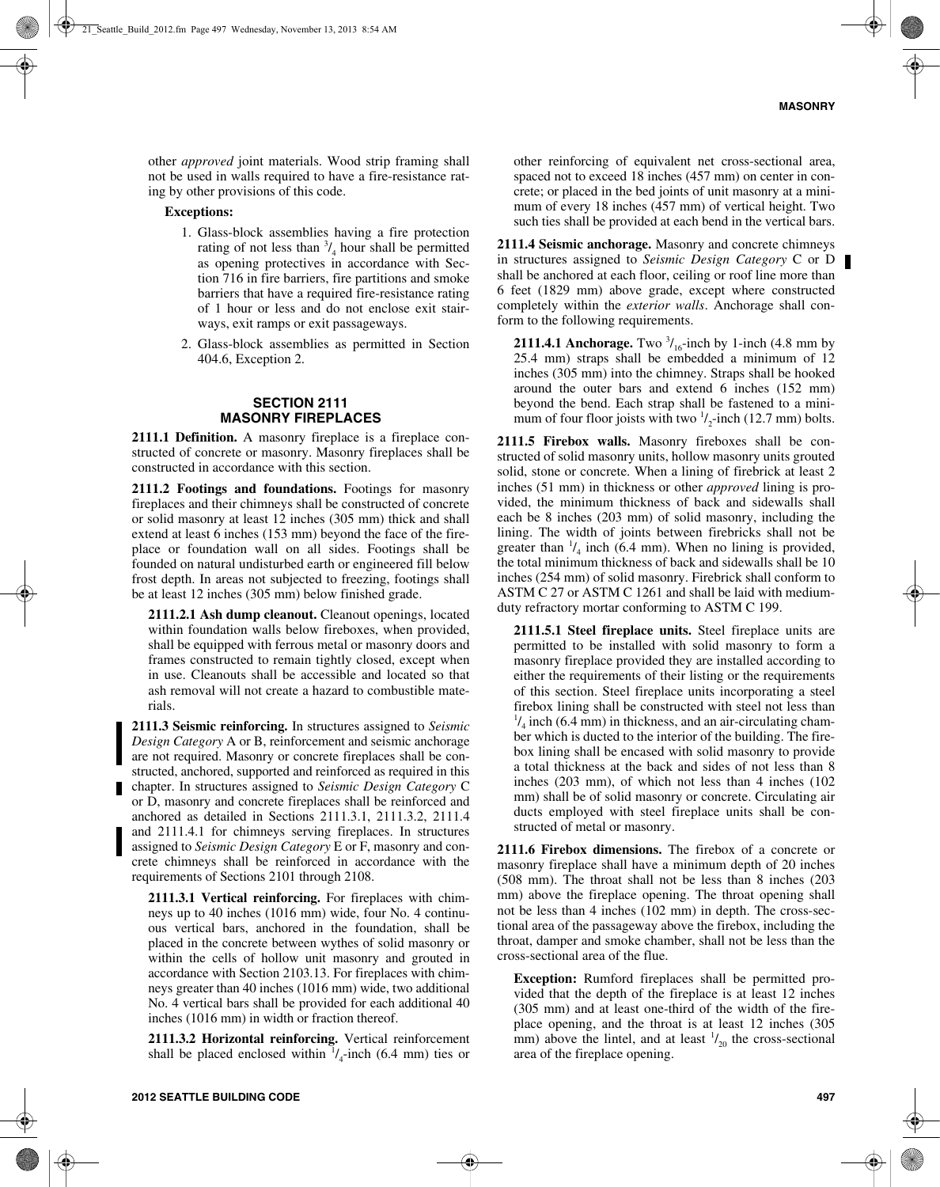other *approved* joint materials. Wood strip framing shall not be used in walls required to have a fire-resistance rating by other provisions of this code.

#### **Exceptions:**

- 1. Glass-block assemblies having a fire protection rating of not less than  $\frac{3}{4}$  hour shall be permitted as opening protectives in accordance with Section 716 in fire barriers, fire partitions and smoke barriers that have a required fire-resistance rating of 1 hour or less and do not enclose exit stairways, exit ramps or exit passageways.
- 2. Glass-block assemblies as permitted in Section 404.6, Exception 2.

## **SECTION 2111 MASONRY FIREPLACES**

**2111.1 Definition.** A masonry fireplace is a fireplace constructed of concrete or masonry. Masonry fireplaces shall be constructed in accordance with this section.

**2111.2 Footings and foundations.** Footings for masonry fireplaces and their chimneys shall be constructed of concrete or solid masonry at least 12 inches (305 mm) thick and shall extend at least 6 inches (153 mm) beyond the face of the fireplace or foundation wall on all sides. Footings shall be founded on natural undisturbed earth or engineered fill below frost depth. In areas not subjected to freezing, footings shall be at least 12 inches (305 mm) below finished grade.

**2111.2.1 Ash dump cleanout.** Cleanout openings, located within foundation walls below fireboxes, when provided, shall be equipped with ferrous metal or masonry doors and frames constructed to remain tightly closed, except when in use. Cleanouts shall be accessible and located so that ash removal will not create a hazard to combustible materials.

**2111.3 Seismic reinforcing.** In structures assigned to *Seismic Design Category* A or B, reinforcement and seismic anchorage are not required. Masonry or concrete fireplaces shall be constructed, anchored, supported and reinforced as required in this chapter. In structures assigned to *Seismic Design Category* C or D, masonry and concrete fireplaces shall be reinforced and anchored as detailed in Sections 2111.3.1, 2111.3.2, 2111.4 and 2111.4.1 for chimneys serving fireplaces. In structures assigned to *Seismic Design Category* E or F, masonry and concrete chimneys shall be reinforced in accordance with the requirements of Sections 2101 through 2108.

**2111.3.1 Vertical reinforcing.** For fireplaces with chimneys up to 40 inches (1016 mm) wide, four No. 4 continuous vertical bars, anchored in the foundation, shall be placed in the concrete between wythes of solid masonry or within the cells of hollow unit masonry and grouted in accordance with Section 2103.13. For fireplaces with chimneys greater than 40 inches (1016 mm) wide, two additional No. 4 vertical bars shall be provided for each additional 40 inches (1016 mm) in width or fraction thereof.

**2111.3.2 Horizontal reinforcing.** Vertical reinforcement shall be placed enclosed within  $\frac{1}{4}$ -inch (6.4 mm) ties or

other reinforcing of equivalent net cross-sectional area, spaced not to exceed 18 inches (457 mm) on center in concrete; or placed in the bed joints of unit masonry at a minimum of every 18 inches (457 mm) of vertical height. Two such ties shall be provided at each bend in the vertical bars.

**2111.4 Seismic anchorage.** Masonry and concrete chimneys in structures assigned to *Seismic Design Category* C or D shall be anchored at each floor, ceiling or roof line more than 6 feet (1829 mm) above grade, except where constructed completely within the *exterior walls*. Anchorage shall conform to the following requirements.

**2111.4.1 Anchorage.** Two  $\frac{3}{16}$ -inch by 1-inch (4.8 mm by 25.4 mm) straps shall be embedded a minimum of 12 inches (305 mm) into the chimney. Straps shall be hooked around the outer bars and extend 6 inches (152 mm) beyond the bend. Each strap shall be fastened to a minimum of four floor joists with two  $\frac{1}{2}$ -inch (12.7 mm) bolts.

**2111.5 Firebox walls.** Masonry fireboxes shall be constructed of solid masonry units, hollow masonry units grouted solid, stone or concrete. When a lining of firebrick at least 2 inches (51 mm) in thickness or other *approved* lining is provided, the minimum thickness of back and sidewalls shall each be 8 inches (203 mm) of solid masonry, including the lining. The width of joints between firebricks shall not be greater than  $\frac{1}{4}$  inch (6.4 mm). When no lining is provided, the total minimum thickness of back and sidewalls shall be 10 inches (254 mm) of solid masonry. Firebrick shall conform to ASTM C 27 or ASTM C 1261 and shall be laid with mediumduty refractory mortar conforming to ASTM C 199.

**2111.5.1 Steel fireplace units.** Steel fireplace units are permitted to be installed with solid masonry to form a masonry fireplace provided they are installed according to either the requirements of their listing or the requirements of this section. Steel fireplace units incorporating a steel firebox lining shall be constructed with steel not less than  $\frac{1}{4}$  inch (6.4 mm) in thickness, and an air-circulating chamber which is ducted to the interior of the building. The firebox lining shall be encased with solid masonry to provide a total thickness at the back and sides of not less than 8 inches (203 mm), of which not less than 4 inches (102 mm) shall be of solid masonry or concrete. Circulating air ducts employed with steel fireplace units shall be constructed of metal or masonry.

**2111.6 Firebox dimensions.** The firebox of a concrete or masonry fireplace shall have a minimum depth of 20 inches (508 mm). The throat shall not be less than 8 inches (203 mm) above the fireplace opening. The throat opening shall not be less than 4 inches (102 mm) in depth. The cross-sectional area of the passageway above the firebox, including the throat, damper and smoke chamber, shall not be less than the cross-sectional area of the flue.

**Exception:** Rumford fireplaces shall be permitted provided that the depth of the fireplace is at least 12 inches (305 mm) and at least one-third of the width of the fireplace opening, and the throat is at least 12 inches (305 mm) above the lintel, and at least  $\frac{1}{20}$  the cross-sectional area of the fireplace opening.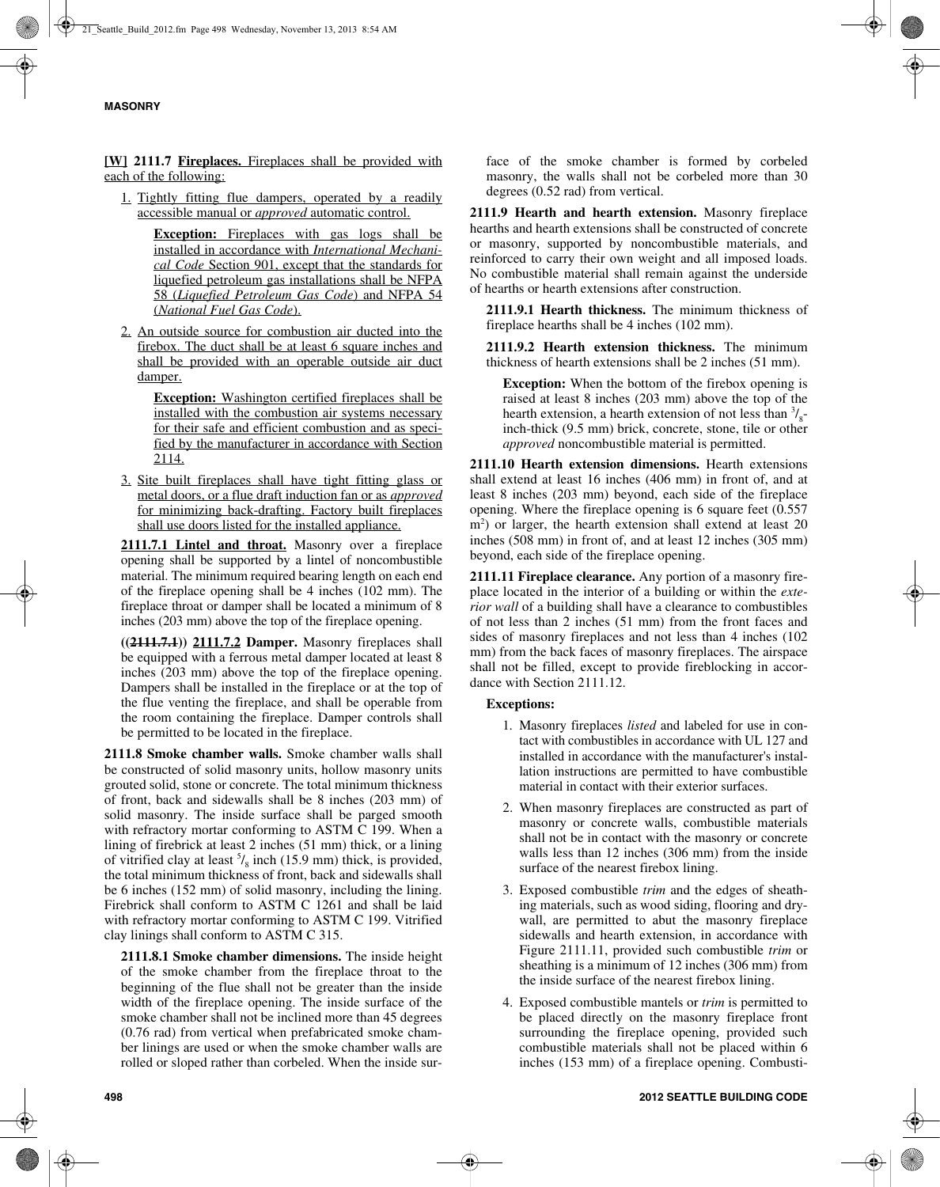**[W] 2111.7 Fireplaces.** Fireplaces shall be provided with each of the following:

1. Tightly fitting flue dampers, operated by a readily accessible manual or *approved* automatic control.

> **Exception:** Fireplaces with gas logs shall be installed in accordance with *International Mechanical Code* Section 901, except that the standards for liquefied petroleum gas installations shall be NFPA 58 (*Liquefied Petroleum Gas Code*) and NFPA 54 (*National Fuel Gas Code*).

2. An outside source for combustion air ducted into the firebox. The duct shall be at least 6 square inches and shall be provided with an operable outside air duct damper.

**Exception:** Washington certified fireplaces shall be installed with the combustion air systems necessary for their safe and efficient combustion and as specified by the manufacturer in accordance with Section 2114.

3. Site built fireplaces shall have tight fitting glass or metal doors, or a flue draft induction fan or as *approved* for minimizing back-drafting. Factory built fireplaces shall use doors listed for the installed appliance.

**2111.7.1 Lintel and throat.** Masonry over a fireplace opening shall be supported by a lintel of noncombustible material. The minimum required bearing length on each end of the fireplace opening shall be 4 inches (102 mm). The fireplace throat or damper shall be located a minimum of 8 inches (203 mm) above the top of the fireplace opening.

**((2111.7.1)) 2111.7.2 Damper.** Masonry fireplaces shall be equipped with a ferrous metal damper located at least 8 inches (203 mm) above the top of the fireplace opening. Dampers shall be installed in the fireplace or at the top of the flue venting the fireplace, and shall be operable from the room containing the fireplace. Damper controls shall be permitted to be located in the fireplace.

**2111.8 Smoke chamber walls.** Smoke chamber walls shall be constructed of solid masonry units, hollow masonry units grouted solid, stone or concrete. The total minimum thickness of front, back and sidewalls shall be 8 inches (203 mm) of solid masonry. The inside surface shall be parged smooth with refractory mortar conforming to ASTM C 199. When a lining of firebrick at least 2 inches (51 mm) thick, or a lining of vitrified clay at least  $\frac{5}{8}$  inch (15.9 mm) thick, is provided, the total minimum thickness of front, back and sidewalls shall be 6 inches (152 mm) of solid masonry, including the lining. Firebrick shall conform to ASTM C 1261 and shall be laid with refractory mortar conforming to ASTM C 199. Vitrified clay linings shall conform to ASTM C 315.

**2111.8.1 Smoke chamber dimensions.** The inside height of the smoke chamber from the fireplace throat to the beginning of the flue shall not be greater than the inside width of the fireplace opening. The inside surface of the smoke chamber shall not be inclined more than 45 degrees (0.76 rad) from vertical when prefabricated smoke chamber linings are used or when the smoke chamber walls are rolled or sloped rather than corbeled. When the inside surface of the smoke chamber is formed by corbeled masonry, the walls shall not be corbeled more than 30 degrees (0.52 rad) from vertical.

**2111.9 Hearth and hearth extension.** Masonry fireplace hearths and hearth extensions shall be constructed of concrete or masonry, supported by noncombustible materials, and reinforced to carry their own weight and all imposed loads. No combustible material shall remain against the underside of hearths or hearth extensions after construction.

**2111.9.1 Hearth thickness.** The minimum thickness of fireplace hearths shall be 4 inches (102 mm).

**2111.9.2 Hearth extension thickness.** The minimum thickness of hearth extensions shall be 2 inches (51 mm).

**Exception:** When the bottom of the firebox opening is raised at least 8 inches (203 mm) above the top of the hearth extension, a hearth extension of not less than  $\frac{3}{8}$ inch-thick (9.5 mm) brick, concrete, stone, tile or other *approved* noncombustible material is permitted.

**2111.10 Hearth extension dimensions.** Hearth extensions shall extend at least 16 inches (406 mm) in front of, and at least 8 inches (203 mm) beyond, each side of the fireplace opening. Where the fireplace opening is 6 square feet (0.557 m<sup>2</sup>) or larger, the hearth extension shall extend at least 20 inches (508 mm) in front of, and at least 12 inches (305 mm) beyond, each side of the fireplace opening.

**2111.11 Fireplace clearance.** Any portion of a masonry fireplace located in the interior of a building or within the *exterior wall* of a building shall have a clearance to combustibles of not less than 2 inches (51 mm) from the front faces and sides of masonry fireplaces and not less than 4 inches (102 mm) from the back faces of masonry fireplaces. The airspace shall not be filled, except to provide fireblocking in accordance with Section 2111.12.

## **Exceptions:**

- 1. Masonry fireplaces *listed* and labeled for use in contact with combustibles in accordance with UL 127 and installed in accordance with the manufacturer's installation instructions are permitted to have combustible material in contact with their exterior surfaces.
- 2. When masonry fireplaces are constructed as part of masonry or concrete walls, combustible materials shall not be in contact with the masonry or concrete walls less than 12 inches (306 mm) from the inside surface of the nearest firebox lining.
- 3. Exposed combustible *trim* and the edges of sheathing materials, such as wood siding, flooring and drywall, are permitted to abut the masonry fireplace sidewalls and hearth extension, in accordance with Figure 2111.11, provided such combustible *trim* or sheathing is a minimum of 12 inches (306 mm) from the inside surface of the nearest firebox lining.
- 4. Exposed combustible mantels or *trim* is permitted to be placed directly on the masonry fireplace front surrounding the fireplace opening, provided such combustible materials shall not be placed within 6 inches (153 mm) of a fireplace opening. Combusti-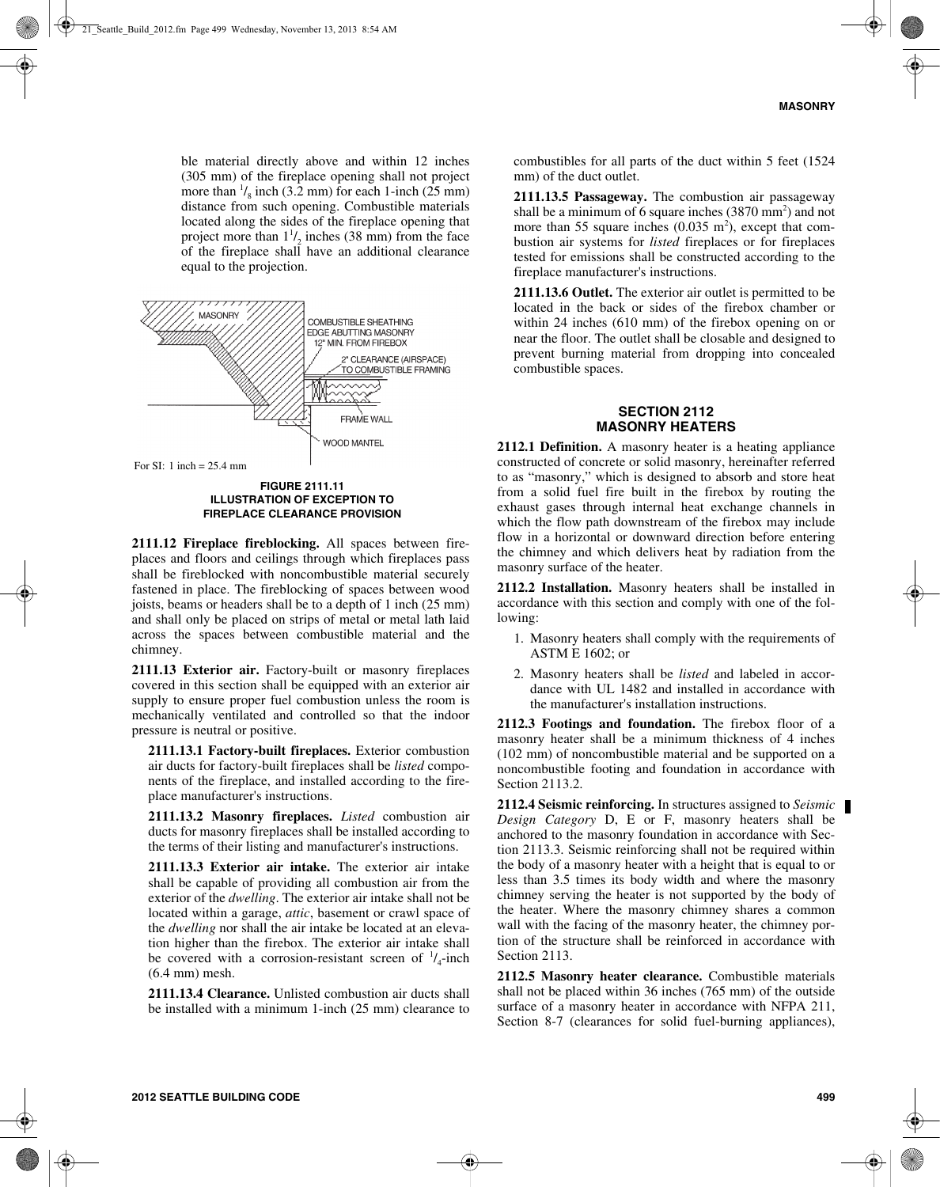ble material directly above and within 12 inches (305 mm) of the fireplace opening shall not project more than  $\frac{1}{8}$  inch (3.2 mm) for each 1-inch (25 mm) distance from such opening. Combustible materials located along the sides of the fireplace opening that project more than  $1\frac{1}{2}$  inches (38 mm) from the face of the fireplace shall have an additional clearance equal to the projection.



**FIGURE 2111.11 ILLUSTRATION OF EXCEPTION TO FIREPLACE CLEARANCE PROVISION**

**2111.12 Fireplace fireblocking.** All spaces between fireplaces and floors and ceilings through which fireplaces pass shall be fireblocked with noncombustible material securely fastened in place. The fireblocking of spaces between wood joists, beams or headers shall be to a depth of 1 inch (25 mm) and shall only be placed on strips of metal or metal lath laid across the spaces between combustible material and the chimney.

**2111.13 Exterior air.** Factory-built or masonry fireplaces covered in this section shall be equipped with an exterior air supply to ensure proper fuel combustion unless the room is mechanically ventilated and controlled so that the indoor pressure is neutral or positive.

**2111.13.1 Factory-built fireplaces.** Exterior combustion air ducts for factory-built fireplaces shall be *listed* components of the fireplace, and installed according to the fireplace manufacturer's instructions.

**2111.13.2 Masonry fireplaces.** *Listed* combustion air ducts for masonry fireplaces shall be installed according to the terms of their listing and manufacturer's instructions.

**2111.13.3 Exterior air intake.** The exterior air intake shall be capable of providing all combustion air from the exterior of the *dwelling*. The exterior air intake shall not be located within a garage, *attic*, basement or crawl space of the *dwelling* nor shall the air intake be located at an elevation higher than the firebox. The exterior air intake shall be covered with a corrosion-resistant screen of  $\frac{1}{4}$ -inch (6.4 mm) mesh.

**2111.13.4 Clearance.** Unlisted combustion air ducts shall be installed with a minimum 1-inch (25 mm) clearance to

combustibles for all parts of the duct within 5 feet (1524 mm) of the duct outlet.

**2111.13.5 Passageway.** The combustion air passageway shall be a minimum of 6 square inches  $(3870 \text{ mm}^2)$  and not more than 55 square inches  $(0.035 \text{ m}^2)$ , except that combustion air systems for *listed* fireplaces or for fireplaces tested for emissions shall be constructed according to the fireplace manufacturer's instructions.

**2111.13.6 Outlet.** The exterior air outlet is permitted to be located in the back or sides of the firebox chamber or within 24 inches (610 mm) of the firebox opening on or near the floor. The outlet shall be closable and designed to prevent burning material from dropping into concealed combustible spaces.

## **SECTION 2112 MASONRY HEATERS**

**2112.1 Definition.** A masonry heater is a heating appliance constructed of concrete or solid masonry, hereinafter referred to as "masonry," which is designed to absorb and store heat from a solid fuel fire built in the firebox by routing the exhaust gases through internal heat exchange channels in which the flow path downstream of the firebox may include flow in a horizontal or downward direction before entering the chimney and which delivers heat by radiation from the masonry surface of the heater.

**2112.2 Installation.** Masonry heaters shall be installed in accordance with this section and comply with one of the following:

- 1. Masonry heaters shall comply with the requirements of ASTM E 1602; or
- 2. Masonry heaters shall be *listed* and labeled in accordance with UL 1482 and installed in accordance with the manufacturer's installation instructions.

**2112.3 Footings and foundation.** The firebox floor of a masonry heater shall be a minimum thickness of 4 inches (102 mm) of noncombustible material and be supported on a noncombustible footing and foundation in accordance with Section 2113.2.

**2112.4 Seismic reinforcing.** In structures assigned to *Seismic Design Category* D, E or F, masonry heaters shall be anchored to the masonry foundation in accordance with Section 2113.3. Seismic reinforcing shall not be required within the body of a masonry heater with a height that is equal to or less than 3.5 times its body width and where the masonry chimney serving the heater is not supported by the body of the heater. Where the masonry chimney shares a common wall with the facing of the masonry heater, the chimney portion of the structure shall be reinforced in accordance with Section 2113.

**2112.5 Masonry heater clearance.** Combustible materials shall not be placed within 36 inches (765 mm) of the outside surface of a masonry heater in accordance with NFPA 211, Section 8-7 (clearances for solid fuel-burning appliances),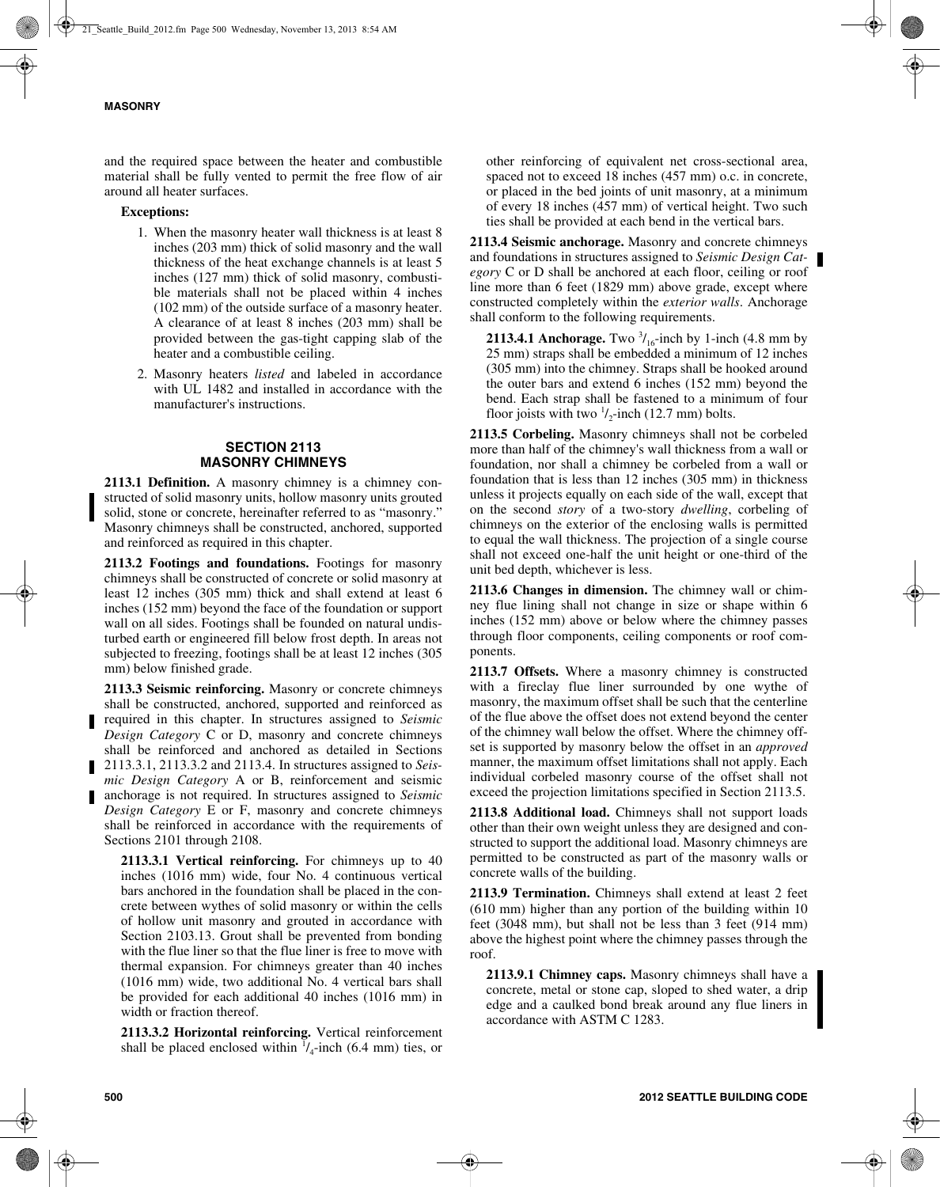and the required space between the heater and combustible material shall be fully vented to permit the free flow of air around all heater surfaces.

## **Exceptions:**

- 1. When the masonry heater wall thickness is at least 8 inches (203 mm) thick of solid masonry and the wall thickness of the heat exchange channels is at least 5 inches (127 mm) thick of solid masonry, combustible materials shall not be placed within 4 inches (102 mm) of the outside surface of a masonry heater. A clearance of at least 8 inches (203 mm) shall be provided between the gas-tight capping slab of the heater and a combustible ceiling.
- 2. Masonry heaters *listed* and labeled in accordance with UL 1482 and installed in accordance with the manufacturer's instructions.

## **SECTION 2113 MASONRY CHIMNEYS**

**2113.1 Definition.** A masonry chimney is a chimney constructed of solid masonry units, hollow masonry units grouted solid, stone or concrete, hereinafter referred to as "masonry." Masonry chimneys shall be constructed, anchored, supported and reinforced as required in this chapter.

**2113.2 Footings and foundations.** Footings for masonry chimneys shall be constructed of concrete or solid masonry at least 12 inches (305 mm) thick and shall extend at least 6 inches (152 mm) beyond the face of the foundation or support wall on all sides. Footings shall be founded on natural undisturbed earth or engineered fill below frost depth. In areas not subjected to freezing, footings shall be at least 12 inches (305 mm) below finished grade.

**2113.3 Seismic reinforcing.** Masonry or concrete chimneys shall be constructed, anchored, supported and reinforced as required in this chapter. In structures assigned to *Seismic Design Category* C or D, masonry and concrete chimneys shall be reinforced and anchored as detailed in Sections 2113.3.1, 2113.3.2 and 2113.4. In structures assigned to *Seismic Design Category* A or B, reinforcement and seismic anchorage is not required. In structures assigned to *Seismic Design Category* E or F, masonry and concrete chimneys shall be reinforced in accordance with the requirements of Sections 2101 through 2108.

**2113.3.1 Vertical reinforcing.** For chimneys up to 40 inches (1016 mm) wide, four No. 4 continuous vertical bars anchored in the foundation shall be placed in the concrete between wythes of solid masonry or within the cells of hollow unit masonry and grouted in accordance with Section 2103.13. Grout shall be prevented from bonding with the flue liner so that the flue liner is free to move with thermal expansion. For chimneys greater than 40 inches (1016 mm) wide, two additional No. 4 vertical bars shall be provided for each additional 40 inches (1016 mm) in width or fraction thereof.

**2113.3.2 Horizontal reinforcing.** Vertical reinforcement shall be placed enclosed within  $\frac{1}{4}$ -inch (6.4 mm) ties, or

other reinforcing of equivalent net cross-sectional area, spaced not to exceed 18 inches (457 mm) o.c. in concrete, or placed in the bed joints of unit masonry, at a minimum of every 18 inches (457 mm) of vertical height. Two such ties shall be provided at each bend in the vertical bars.

**2113.4 Seismic anchorage.** Masonry and concrete chimneys and foundations in structures assigned to *Seismic Design Category* C or D shall be anchored at each floor, ceiling or roof line more than 6 feet (1829 mm) above grade, except where constructed completely within the *exterior walls*. Anchorage shall conform to the following requirements.

**2113.4.1 Anchorage.** Two  $\frac{3}{16}$ -inch by 1-inch (4.8 mm by 25 mm) straps shall be embedded a minimum of 12 inches (305 mm) into the chimney. Straps shall be hooked around the outer bars and extend 6 inches (152 mm) beyond the bend. Each strap shall be fastened to a minimum of four floor joists with two  $\frac{1}{2}$ -inch (12.7 mm) bolts.

**2113.5 Corbeling.** Masonry chimneys shall not be corbeled more than half of the chimney's wall thickness from a wall or foundation, nor shall a chimney be corbeled from a wall or foundation that is less than 12 inches (305 mm) in thickness unless it projects equally on each side of the wall, except that on the second *story* of a two-story *dwelling*, corbeling of chimneys on the exterior of the enclosing walls is permitted to equal the wall thickness. The projection of a single course shall not exceed one-half the unit height or one-third of the unit bed depth, whichever is less.

**2113.6 Changes in dimension.** The chimney wall or chimney flue lining shall not change in size or shape within 6 inches (152 mm) above or below where the chimney passes through floor components, ceiling components or roof components.

**2113.7 Offsets.** Where a masonry chimney is constructed with a fireclay flue liner surrounded by one wythe of masonry, the maximum offset shall be such that the centerline of the flue above the offset does not extend beyond the center of the chimney wall below the offset. Where the chimney offset is supported by masonry below the offset in an *approved* manner, the maximum offset limitations shall not apply. Each individual corbeled masonry course of the offset shall not exceed the projection limitations specified in Section 2113.5.

**2113.8 Additional load.** Chimneys shall not support loads other than their own weight unless they are designed and constructed to support the additional load. Masonry chimneys are permitted to be constructed as part of the masonry walls or concrete walls of the building.

**2113.9 Termination.** Chimneys shall extend at least 2 feet (610 mm) higher than any portion of the building within 10 feet (3048 mm), but shall not be less than 3 feet (914 mm) above the highest point where the chimney passes through the roof.

**2113.9.1 Chimney caps.** Masonry chimneys shall have a concrete, metal or stone cap, sloped to shed water, a drip edge and a caulked bond break around any flue liners in accordance with ASTM C 1283.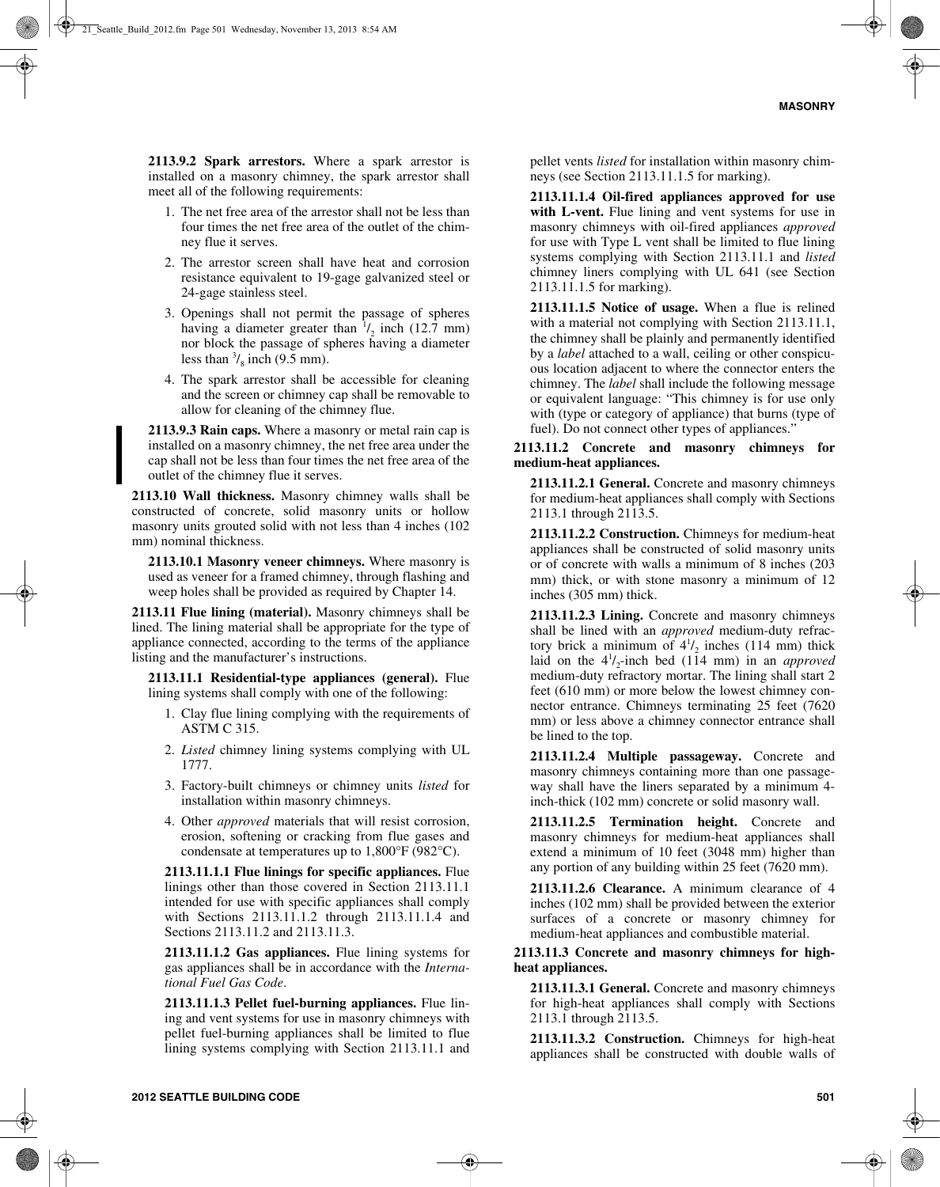**2113.9.2 Spark arrestors.** Where a spark arrestor is installed on a masonry chimney, the spark arrestor shall meet all of the following requirements:

- 1. The net free area of the arrestor shall not be less than four times the net free area of the outlet of the chimney flue it serves.
- 2. The arrestor screen shall have heat and corrosion resistance equivalent to 19-gage galvanized steel or 24-gage stainless steel.
- 3. Openings shall not permit the passage of spheres having a diameter greater than  $\frac{1}{2}$  inch (12.7 mm) nor block the passage of spheres having a diameter less than  $\frac{3}{8}$  inch (9.5 mm).
- 4. The spark arrestor shall be accessible for cleaning and the screen or chimney cap shall be removable to allow for cleaning of the chimney flue.

**2113.9.3 Rain caps.** Where a masonry or metal rain cap is installed on a masonry chimney, the net free area under the cap shall not be less than four times the net free area of the outlet of the chimney flue it serves.

**2113.10 Wall thickness.** Masonry chimney walls shall be constructed of concrete, solid masonry units or hollow masonry units grouted solid with not less than 4 inches (102 mm) nominal thickness.

**2113.10.1 Masonry veneer chimneys.** Where masonry is used as veneer for a framed chimney, through flashing and weep holes shall be provided as required by Chapter 14.

**2113.11 Flue lining (material).** Masonry chimneys shall be lined. The lining material shall be appropriate for the type of appliance connected, according to the terms of the appliance listing and the manufacturer's instructions.

**2113.11.1 Residential-type appliances (general).** Flue lining systems shall comply with one of the following:

- 1. Clay flue lining complying with the requirements of ASTM C 315.
- 2. *Listed* chimney lining systems complying with UL 1777.
- 3. Factory-built chimneys or chimney units *listed* for installation within masonry chimneys.
- 4. Other *approved* materials that will resist corrosion, erosion, softening or cracking from flue gases and condensate at temperatures up to 1,800°F (982°C).

**2113.11.1.1 Flue linings for specific appliances.** Flue linings other than those covered in Section 2113.11.1 intended for use with specific appliances shall comply with Sections 2113.11.1.2 through 2113.11.1.4 and Sections 2113.11.2 and 2113.11.3.

**2113.11.1.2 Gas appliances.** Flue lining systems for gas appliances shall be in accordance with the *International Fuel Gas Code*.

**2113.11.1.3 Pellet fuel-burning appliances.** Flue lining and vent systems for use in masonry chimneys with pellet fuel-burning appliances shall be limited to flue lining systems complying with Section 2113.11.1 and pellet vents *listed* for installation within masonry chimneys (see Section 2113.11.1.5 for marking).

**2113.11.1.4 Oil-fired appliances approved for use with L-vent.** Flue lining and vent systems for use in masonry chimneys with oil-fired appliances *approved* for use with Type L vent shall be limited to flue lining systems complying with Section 2113.11.1 and *listed* chimney liners complying with UL 641 (see Section 2113.11.1.5 for marking).

**2113.11.1.5 Notice of usage.** When a flue is relined with a material not complying with Section 2113.11.1, the chimney shall be plainly and permanently identified by a *label* attached to a wall, ceiling or other conspicuous location adjacent to where the connector enters the chimney. The *label* shall include the following message or equivalent language: "This chimney is for use only with (type or category of appliance) that burns (type of fuel). Do not connect other types of appliances."

**2113.11.2 Concrete and masonry chimneys for medium-heat appliances.**

**2113.11.2.1 General.** Concrete and masonry chimneys for medium-heat appliances shall comply with Sections 2113.1 through 2113.5.

**2113.11.2.2 Construction.** Chimneys for medium-heat appliances shall be constructed of solid masonry units or of concrete with walls a minimum of 8 inches (203 mm) thick, or with stone masonry a minimum of 12 inches (305 mm) thick.

**2113.11.2.3 Lining.** Concrete and masonry chimneys shall be lined with an *approved* medium-duty refractory brick a minimum of  $4^{1}/_{2}$  inches (114 mm) thick laid on the  $4^{1}/_{2}$ -inch bed (114 mm) in an *approved* medium-duty refractory mortar. The lining shall start 2 feet (610 mm) or more below the lowest chimney connector entrance. Chimneys terminating 25 feet (7620 mm) or less above a chimney connector entrance shall be lined to the top.

**2113.11.2.4 Multiple passageway.** Concrete and masonry chimneys containing more than one passageway shall have the liners separated by a minimum 4 inch-thick (102 mm) concrete or solid masonry wall.

**2113.11.2.5 Termination height.** Concrete and masonry chimneys for medium-heat appliances shall extend a minimum of 10 feet (3048 mm) higher than any portion of any building within 25 feet (7620 mm).

**2113.11.2.6 Clearance.** A minimum clearance of 4 inches (102 mm) shall be provided between the exterior surfaces of a concrete or masonry chimney for medium-heat appliances and combustible material.

## **2113.11.3 Concrete and masonry chimneys for highheat appliances.**

**2113.11.3.1 General.** Concrete and masonry chimneys for high-heat appliances shall comply with Sections 2113.1 through 2113.5.

**2113.11.3.2 Construction.** Chimneys for high-heat appliances shall be constructed with double walls of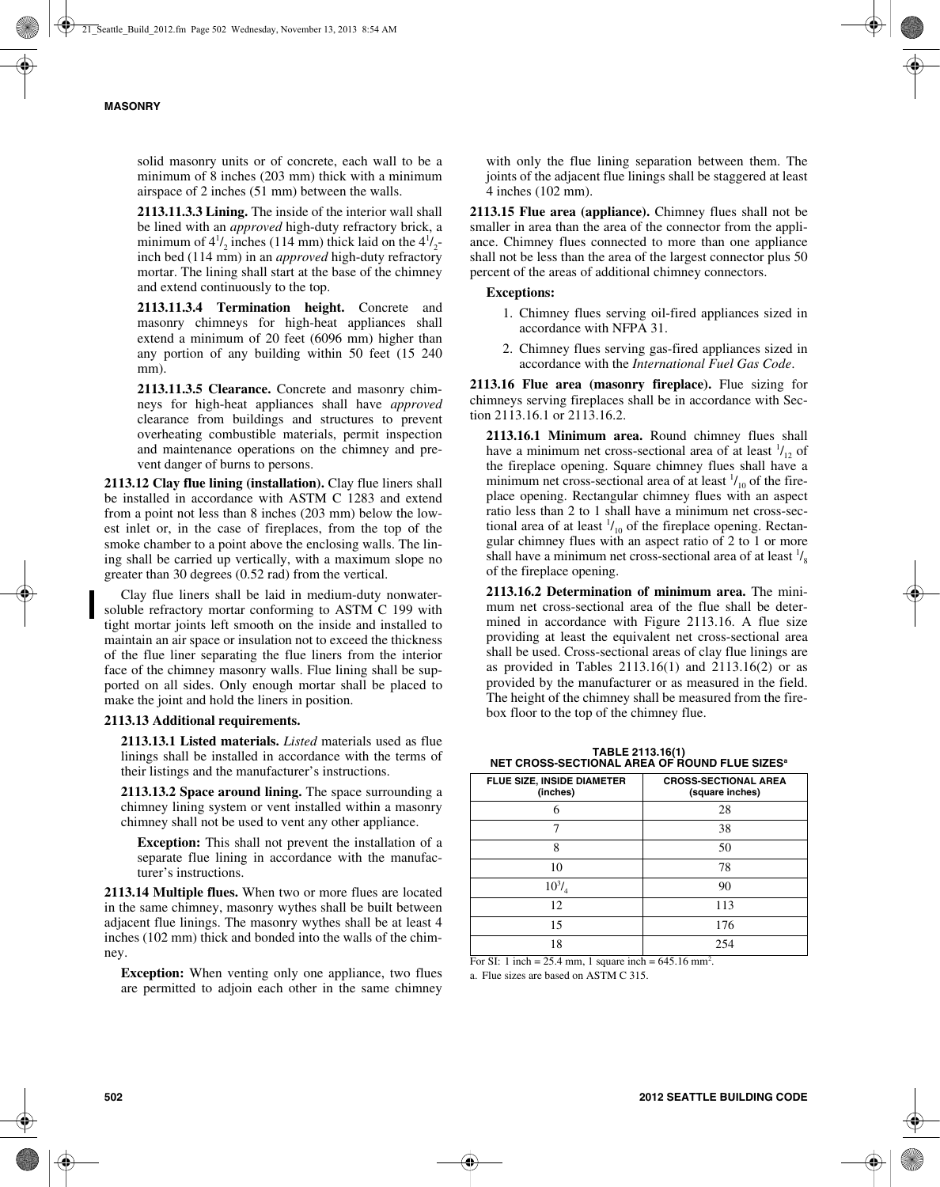solid masonry units or of concrete, each wall to be a minimum of 8 inches (203 mm) thick with a minimum airspace of 2 inches (51 mm) between the walls.

**2113.11.3.3 Lining.** The inside of the interior wall shall be lined with an *approved* high-duty refractory brick, a minimum of  $4^{1}/_{2}$  inches (114 mm) thick laid on the  $4^{1}/_{2}$ inch bed (114 mm) in an *approved* high-duty refractory mortar. The lining shall start at the base of the chimney and extend continuously to the top.

**2113.11.3.4 Termination height.** Concrete and masonry chimneys for high-heat appliances shall extend a minimum of 20 feet (6096 mm) higher than any portion of any building within 50 feet (15 240 mm).

**2113.11.3.5 Clearance.** Concrete and masonry chimneys for high-heat appliances shall have *approved* clearance from buildings and structures to prevent overheating combustible materials, permit inspection and maintenance operations on the chimney and prevent danger of burns to persons.

**2113.12 Clay flue lining (installation).** Clay flue liners shall be installed in accordance with ASTM C 1283 and extend from a point not less than 8 inches (203 mm) below the lowest inlet or, in the case of fireplaces, from the top of the smoke chamber to a point above the enclosing walls. The lining shall be carried up vertically, with a maximum slope no greater than 30 degrees (0.52 rad) from the vertical.

Clay flue liners shall be laid in medium-duty nonwatersoluble refractory mortar conforming to ASTM C 199 with tight mortar joints left smooth on the inside and installed to maintain an air space or insulation not to exceed the thickness of the flue liner separating the flue liners from the interior face of the chimney masonry walls. Flue lining shall be supported on all sides. Only enough mortar shall be placed to make the joint and hold the liners in position.

#### **2113.13 Additional requirements.**

**2113.13.1 Listed materials.** *Listed* materials used as flue linings shall be installed in accordance with the terms of their listings and the manufacturer's instructions.

**2113.13.2 Space around lining.** The space surrounding a chimney lining system or vent installed within a masonry chimney shall not be used to vent any other appliance.

**Exception:** This shall not prevent the installation of a separate flue lining in accordance with the manufacturer's instructions.

**2113.14 Multiple flues.** When two or more flues are located in the same chimney, masonry wythes shall be built between adjacent flue linings. The masonry wythes shall be at least 4 inches (102 mm) thick and bonded into the walls of the chimney.

**Exception:** When venting only one appliance, two flues are permitted to adjoin each other in the same chimney

with only the flue lining separation between them. The joints of the adjacent flue linings shall be staggered at least 4 inches (102 mm).

**2113.15 Flue area (appliance).** Chimney flues shall not be smaller in area than the area of the connector from the appliance. Chimney flues connected to more than one appliance shall not be less than the area of the largest connector plus 50 percent of the areas of additional chimney connectors.

## **Exceptions:**

- 1. Chimney flues serving oil-fired appliances sized in accordance with NFPA 31.
- 2. Chimney flues serving gas-fired appliances sized in accordance with the *International Fuel Gas Code*.

**2113.16 Flue area (masonry fireplace).** Flue sizing for chimneys serving fireplaces shall be in accordance with Section 2113.16.1 or 2113.16.2.

**2113.16.1 Minimum area.** Round chimney flues shall have a minimum net cross-sectional area of at least  $\frac{1}{12}$  of the fireplace opening. Square chimney flues shall have a minimum net cross-sectional area of at least  $\frac{1}{10}$  of the fireplace opening. Rectangular chimney flues with an aspect ratio less than 2 to 1 shall have a minimum net cross-sectional area of at least  $\frac{1}{10}$  of the fireplace opening. Rectangular chimney flues with an aspect ratio of 2 to 1 or more shall have a minimum net cross-sectional area of at least  $\frac{1}{8}$ of the fireplace opening.

**2113.16.2 Determination of minimum area.** The minimum net cross-sectional area of the flue shall be determined in accordance with Figure 2113.16. A flue size providing at least the equivalent net cross-sectional area shall be used. Cross-sectional areas of clay flue linings are as provided in Tables 2113.16(1) and 2113.16(2) or as provided by the manufacturer or as measured in the field. The height of the chimney shall be measured from the firebox floor to the top of the chimney flue.

**TABLE 2113.16(1) NET CROSS-SECTIONAL AREA OF ROUND FLUE SIZESa**

| FLUE SIZE, INSIDE DIAMETER<br>(inches) | <b>CROSS-SECTIONAL AREA</b><br>(square inches) |
|----------------------------------------|------------------------------------------------|
| h                                      | 28                                             |
|                                        | 38                                             |
| 8                                      | 50                                             |
| 10                                     | 78                                             |
| $10^{3}/_{4}$                          | 90                                             |
| 12                                     | 113                                            |
| 15                                     | 176                                            |
| 18                                     | 254                                            |

For SI: 1 inch = 25.4 mm, 1 square inch =  $645.16$  mm<sup>2</sup>.

a. Flue sizes are based on ASTM C 315.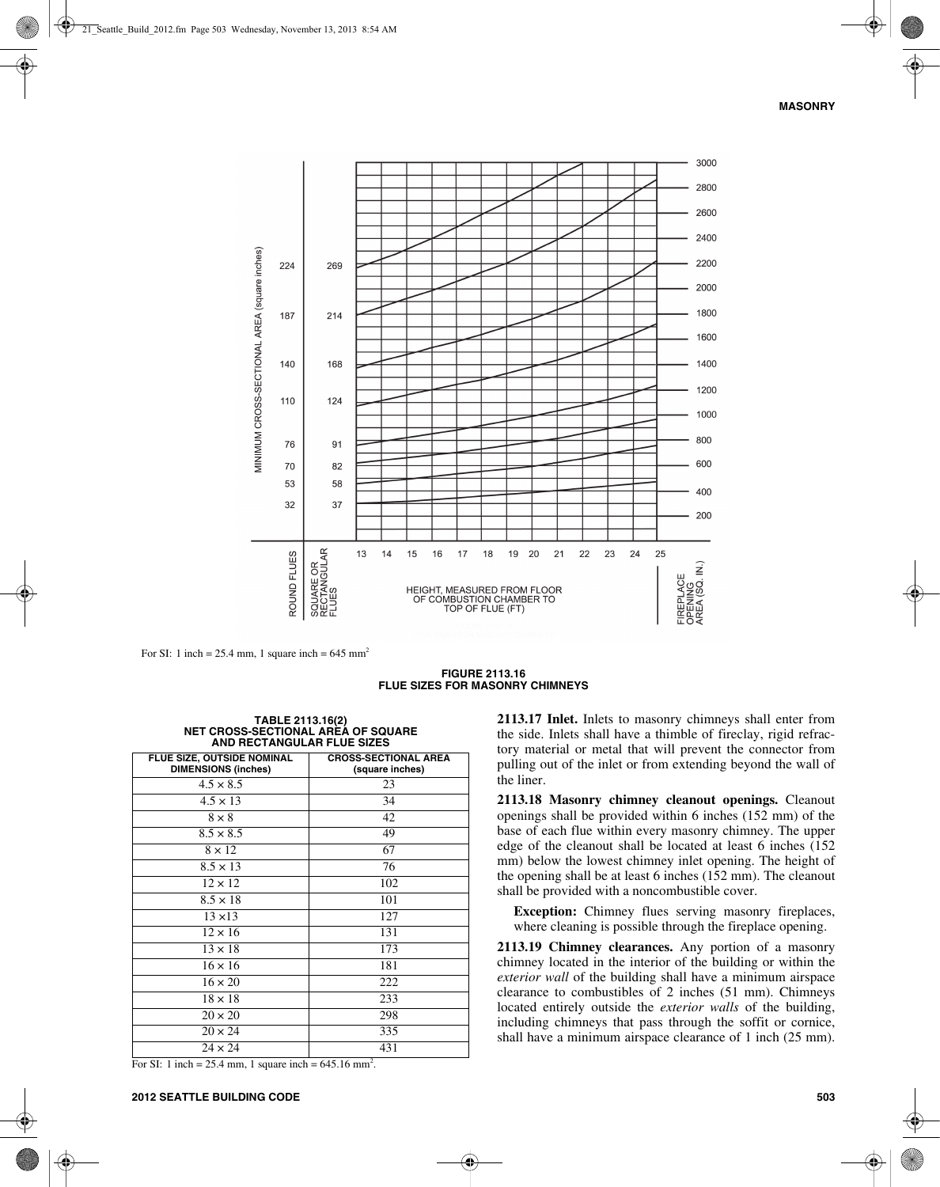

For SI: 1 inch =  $25.4$  mm, 1 square inch =  $645$  mm<sup>2</sup>

**FIGURE 2113.16 FLUE SIZES FOR MASONRY CHIMNEYS**

| TABLE 2113.16(2)           |                                           |  |
|----------------------------|-------------------------------------------|--|
|                            | <b>NET CROSS-SECTIONAL AREA OF SQUARE</b> |  |
| AND RECTANGULAR FLUE SIZES |                                           |  |

| FLUE SIZE, OUTSIDE NOMINAL<br><b>DIMENSIONS (inches)</b> | <b>CROSS-SECTIONAL AREA</b><br>(square inches) |
|----------------------------------------------------------|------------------------------------------------|
| $4.5 \times 8.5$                                         | 23                                             |
| $4.5 \times 13$                                          | 34                                             |
| $8 \times 8$                                             | 42                                             |
| $8.5 \times 8.5$                                         | 49                                             |
| $8 \times 12$                                            | 67                                             |
| $8.5 \times 13$                                          | 76                                             |
| $12 \times 12$                                           | 102                                            |
| $8.5 \times 18$                                          | 101                                            |
| $13 \times 13$                                           | 127                                            |
| $12 \times 16$                                           | 131                                            |
| $13 \times 18$                                           | 173                                            |
| $16 \times 16$                                           | 181                                            |
| $16 \times 20$                                           | 222                                            |
| $18 \times 18$                                           | 233                                            |
| $20 \times 20$                                           | 298                                            |
| $20 \times 24$                                           | 335                                            |
| $24 \times 24$                                           | 431                                            |

For SI: 1 inch =  $25.4$  mm, 1 square inch =  $645.16$  mm<sup>2</sup>.

**2113.17 Inlet.** Inlets to masonry chimneys shall enter from the side. Inlets shall have a thimble of fireclay, rigid refractory material or metal that will prevent the connector from pulling out of the inlet or from extending beyond the wall of the liner.

**2113.18 Masonry chimney cleanout openings.** Cleanout openings shall be provided within 6 inches (152 mm) of the base of each flue within every masonry chimney. The upper edge of the cleanout shall be located at least 6 inches (152 mm) below the lowest chimney inlet opening. The height of the opening shall be at least 6 inches (152 mm). The cleanout shall be provided with a noncombustible cover.

**Exception:** Chimney flues serving masonry fireplaces, where cleaning is possible through the fireplace opening.

**2113.19 Chimney clearances.** Any portion of a masonry chimney located in the interior of the building or within the *exterior wall* of the building shall have a minimum airspace clearance to combustibles of 2 inches (51 mm). Chimneys located entirely outside the *exterior walls* of the building, including chimneys that pass through the soffit or cornice, shall have a minimum airspace clearance of 1 inch (25 mm).